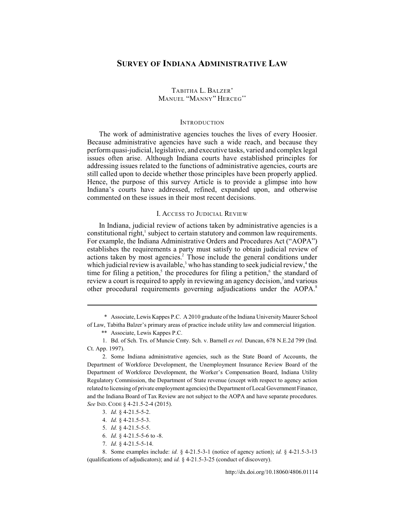# **SURVEY OF INDIANA ADMINISTRATIVE LAW**

## TABITHA L. BALZER\* MANUEL "MANNY" HERCEG\*\*

#### **INTRODUCTION**

The work of administrative agencies touches the lives of every Hoosier. Because administrative agencies have such a wide reach, and because they perform quasi-judicial, legislative, and executive tasks, varied and complex legal issues often arise. Although Indiana courts have established principles for addressing issues related to the functions of administrative agencies, courts are still called upon to decide whether those principles have been properly applied. Hence, the purpose of this survey Article is to provide a glimpse into how Indiana's courts have addressed, refined, expanded upon, and otherwise commented on these issues in their most recent decisions.

### I. ACCESS TO JUDICIAL REVIEW

In Indiana, judicial review of actions taken by administrative agencies is a constitutional right, $\frac{1}{2}$  subject to certain statutory and common law requirements. For example, the Indiana Administrative Orders and Procedures Act ("AOPA") establishes the requirements a party must satisfy to obtain judicial review of actions taken by most agencies.<sup>2</sup> Those include the general conditions under which judicial review is available,<sup>3</sup> who has standing to seek judicial review,<sup>4</sup> the time for filing a petition,<sup>5</sup> the procedures for filing a petition, $\frac{6}{3}$  the standard of review a court is required to apply in reviewing an agency decision,<sup>7</sup> and various other procedural requirements governing adjudications under the AOPA.<sup>8</sup>

2. Some Indiana administrative agencies, such as the State Board of Accounts, the Department of Workforce Development, the Unemployment Insurance Review Board of the Department of Workforce Development, the Worker's Compensation Board, Indiana Utility Regulatory Commission, the Department of State revenue (except with respect to agency action related to licensing of private employment agencies) the Department of Local Government Finance, and the Indiana Board of Tax Review are not subject to the AOPA and have separate procedures. *See* IND. CODE § 4-21.5-2-4 (2015).

7. *Id.* § 4-21.5-5-14.

8. Some examples include: *id.* § 4-21.5-3-1 (notice of agency action); *id.* § 4-21.5-3-13 (qualifications of adjudicators); and *id.* § 4-21.5-3-25 (conduct of discovery).

<sup>\*</sup> Associate, Lewis Kappes P.C. A 2010 graduate of the Indiana University Maurer School

of Law, Tabitha Balzer's primary areas of practice include utility law and commercial litigation. \*\* Associate, Lewis Kappes P.C.

<sup>1.</sup> Bd. of Sch. Trs. of Muncie Cmty. Sch. v. Barnell *ex rel.* Duncan, 678 N.E.2d 799 (Ind. Ct. App. 1997).

<sup>3.</sup> *Id.* § 4-21.5-5-2.

<sup>4.</sup> *Id.* § 4-21.5-5-3.

<sup>5.</sup> *Id.* § 4-21.5-5-5.

<sup>6.</sup> *Id.* § 4-21.5-5-6 to -8.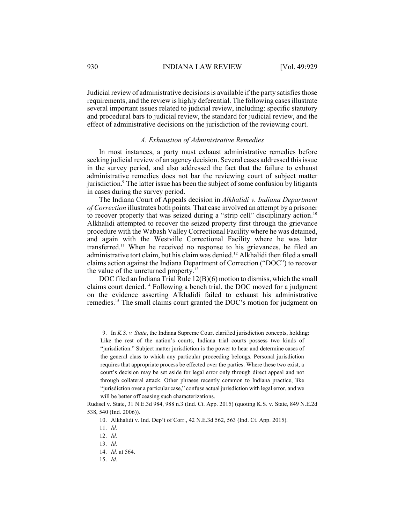Judicial review of administrative decisions is available if the party satisfies those requirements, and the review is highly deferential. The following cases illustrate several important issues related to judicial review, including: specific statutory and procedural bars to judicial review, the standard for judicial review, and the effect of administrative decisions on the jurisdiction of the reviewing court.

#### *A. Exhaustion of Administrative Remedies*

In most instances, a party must exhaust administrative remedies before seeking judicial review of an agency decision. Several cases addressed this issue in the survey period, and also addressed the fact that the failure to exhaust administrative remedies does not bar the reviewing court of subject matter jurisdiction.<sup>9</sup> The latter issue has been the subject of some confusion by litigants in cases during the survey period.

The Indiana Court of Appeals decision in *Alkhalidi v. Indiana Department of Correction* illustrates both points. That case involved an attempt by a prisoner to recover property that was seized during a "strip cell" disciplinary action.<sup>10</sup> Alkhalidi attempted to recover the seized property first through the grievance procedure with the Wabash Valley Correctional Facility where he was detained, and again with the Westville Correctional Facility where he was later transferred.<sup>11</sup> When he received no response to his grievances, he filed an administrative tort claim, but his claim was denied.<sup>12</sup> Alkhalidi then filed a small claims action against the Indiana Department of Correction ("DOC") to recover the value of the unreturned property.<sup>13</sup>

DOC filed an Indiana Trial Rule 12(B)(6) motion to dismiss, which the small claims court denied.<sup>14</sup> Following a bench trial, the DOC moved for a judgment on the evidence asserting Alkhalidi failed to exhaust his administrative remedies.<sup>15</sup> The small claims court granted the DOC's motion for judgment on

<sup>9.</sup> In *K.S. v. State*, the Indiana Supreme Court clarified jurisdiction concepts, holding: Like the rest of the nation's courts, Indiana trial courts possess two kinds of "jurisdiction." Subject matter jurisdiction is the power to hear and determine cases of the general class to which any particular proceeding belongs. Personal jurisdiction requires that appropriate process be effected over the parties. Where these two exist, a court's decision may be set aside for legal error only through direct appeal and not through collateral attack. Other phrases recently common to Indiana practice, like "jurisdiction over a particular case," confuse actual jurisdiction with legal error, and we will be better off ceasing such characterizations.

Rudisel v. State, 31 N.E.3d 984, 988 n.3 (Ind. Ct. App. 2015) (quoting K.S. v. State, 849 N.E.2d 538, 540 (Ind. 2006)).

<sup>10.</sup> Alkhalidi v. Ind. Dep't of Corr., 42 N.E.3d 562, 563 (Ind. Ct. App. 2015).

<sup>11.</sup> *Id.*

<sup>12.</sup> *Id.*

<sup>13.</sup> *Id.*

<sup>14.</sup> *Id.* at 564.

<sup>15.</sup> *Id.*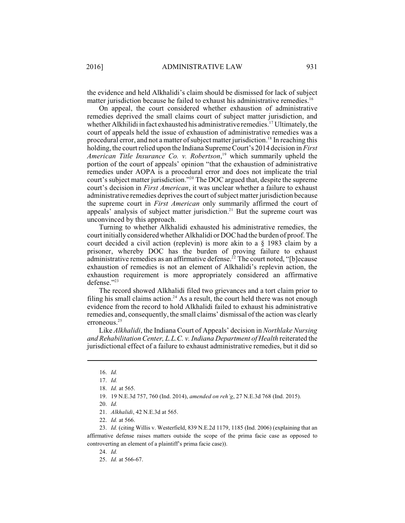the evidence and held Alkhalidi's claim should be dismissed for lack of subject matter jurisdiction because he failed to exhaust his administrative remedies.<sup>16</sup>

On appeal, the court considered whether exhaustion of administrative remedies deprived the small claims court of subject matter jurisdiction, and whether Alkhilidi in fact exhausted his administrative remedies.<sup>17</sup> Ultimately, the court of appeals held the issue of exhaustion of administrative remedies was a procedural error, and not a matter of subject matter jurisdiction.<sup>18</sup> In reaching this holding, the court relied upon the Indiana Supreme Court's 2014 decision in *First American Title Insurance Co. v. Robertson*,<sup>19</sup> which summarily upheld the portion of the court of appeals' opinion "that the exhaustion of administrative remedies under AOPA is a procedural error and does not implicate the trial court's subject matter jurisdiction."<sup>20</sup> The DOC argued that, despite the supreme court's decision in *First American*, it was unclear whether a failure to exhaust administrative remedies deprives the court of subject matter jurisdiction because the supreme court in *First American* only summarily affirmed the court of appeals' analysis of subject matter jurisdiction.<sup>21</sup> But the supreme court was unconvinced by this approach.

Turning to whether Alkhalidi exhausted his administrative remedies, the court initially considered whether Alkhalidi or DOC had the burden of proof. The court decided a civil action (replevin) is more akin to a § 1983 claim by a prisoner, whereby DOC has the burden of proving failure to exhaust administrative remedies as an affirmative defense.<sup>22</sup> The court noted, "[b]ecause exhaustion of remedies is not an element of Alkhalidi's replevin action, the exhaustion requirement is more appropriately considered an affirmative defense."<sup>23</sup>

The record showed Alkhalidi filed two grievances and a tort claim prior to filing his small claims action.<sup>24</sup> As a result, the court held there was not enough evidence from the record to hold Alkhalidi failed to exhaust his administrative remedies and, consequently, the small claims' dismissal of the action was clearly erroneous.<sup>25</sup>

Like *Alkhalidi*, the Indiana Court of Appeals' decision in *Northlake Nursing and Rehabilitation Center, L.L.C. v. Indiana Department of Health* reiterated the jurisdictional effect of a failure to exhaust administrative remedies, but it did so

<sup>16.</sup> *Id.*

<sup>17.</sup> *Id.*

<sup>18.</sup> *Id.* at 565.

<sup>19.</sup> 19 N.E.3d 757, 760 (Ind. 2014), *amended on reh'g*, 27 N.E.3d 768 (Ind. 2015).

<sup>20.</sup> *Id.*

<sup>21.</sup> *Alkhalidi*, 42 N.E.3d at 565.

<sup>22.</sup> *Id.* at 566.

<sup>23.</sup> *Id.* (citing Willis v. Westerfield, 839 N.E.2d 1179, 1185 (Ind. 2006) (explaining that an affirmative defense raises matters outside the scope of the prima facie case as opposed to controverting an element of a plaintiff's prima facie case)).

<sup>24.</sup> *Id.*

<sup>25.</sup> *Id.* at 566-67.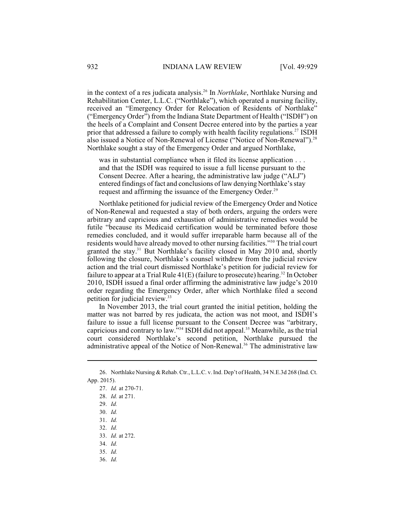in the context of a res judicata analysis.<sup>26</sup> In *Northlake*, Northlake Nursing and Rehabilitation Center, L.L.C. ("Northlake"), which operated a nursing facility, received an "Emergency Order for Relocation of Residents of Northlake" ("Emergency Order") from the Indiana State Department of Health ("ISDH") on the heels of a Complaint and Consent Decree entered into by the parties a year prior that addressed a failure to comply with health facility regulations.<sup>27</sup> ISDH also issued a Notice of Non-Renewal of License ("Notice of Non-Renewal").<sup>28</sup> Northlake sought a stay of the Emergency Order and argued Northlake,

was in substantial compliance when it filed its license application . . . and that the ISDH was required to issue a full license pursuant to the Consent Decree. After a hearing, the administrative law judge ("ALJ") entered findings of fact and conclusions of law denying Northlake's stay request and affirming the issuance of the Emergency Order.<sup>29</sup>

Northlake petitioned for judicial review of the Emergency Order and Notice of Non-Renewal and requested a stay of both orders, arguing the orders were arbitrary and capricious and exhaustion of administrative remedies would be futile "because its Medicaid certification would be terminated before those remedies concluded, and it would suffer irreparable harm because all of the residents would have already moved to other nursing facilities."<sup>30</sup> The trial court granted the stay.<sup>31</sup> But Northlake's facility closed in May 2010 and, shortly following the closure, Northlake's counsel withdrew from the judicial review action and the trial court dismissed Northlake's petition for judicial review for failure to appear at a Trial Rule  $41(E)$  (failure to prosecute) hearing.<sup>32</sup> In October 2010, ISDH issued a final order affirming the administrative law judge's 2010 order regarding the Emergency Order, after which Northlake filed a second petition for judicial review.<sup>33</sup>

In November 2013, the trial court granted the initial petition, holding the matter was not barred by res judicata, the action was not moot, and ISDH's failure to issue a full license pursuant to the Consent Decree was "arbitrary, capricious and contrary to law."<sup>34</sup> ISDH did not appeal.<sup>35</sup> Meanwhile, as the trial court considered Northlake's second petition, Northlake pursued the administrative appeal of the Notice of Non-Renewal.<sup>36</sup> The administrative law

<sup>26.</sup> Northlake Nursing & Rehab. Ctr., L.L.C. v. Ind. Dep't of Health, 34 N.E.3d 268 (Ind. Ct. App. 2015).

<sup>27.</sup> *Id.* at 270-71.

<sup>28.</sup> *Id.* at 271.

<sup>29.</sup> *Id.*

<sup>30.</sup> *Id.*

<sup>31.</sup> *Id.* 

<sup>32.</sup> *Id.*

<sup>33.</sup> *Id.* at 272.

<sup>34.</sup> *Id.*

<sup>35.</sup> *Id.*

<sup>36.</sup> *Id.*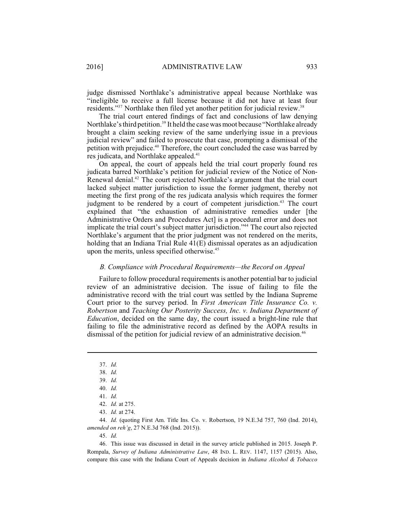judge dismissed Northlake's administrative appeal because Northlake was "ineligible to receive a full license because it did not have at least four residents."<sup>37</sup> Northlake then filed yet another petition for judicial review.<sup>38</sup>

The trial court entered findings of fact and conclusions of law denying Northlake's third petition.<sup>39</sup> It held the case was moot because "Northlake already" brought a claim seeking review of the same underlying issue in a previous judicial review" and failed to prosecute that case, prompting a dismissal of the petition with prejudice.<sup>40</sup> Therefore, the court concluded the case was barred by res judicata, and Northlake appealed.<sup>41</sup>

On appeal, the court of appeals held the trial court properly found res judicata barred Northlake's petition for judicial review of the Notice of Non-Renewal denial. $^{42}$  The court rejected Northlake's argument that the trial court lacked subject matter jurisdiction to issue the former judgment, thereby not meeting the first prong of the res judicata analysis which requires the former judgment to be rendered by a court of competent jurisdiction.<sup>43</sup> The court explained that "the exhaustion of administrative remedies under [the Administrative Orders and Procedures Act] is a procedural error and does not implicate the trial court's subject matter jurisdiction."<sup>44</sup> The court also rejected Northlake's argument that the prior judgment was not rendered on the merits, holding that an Indiana Trial Rule 41(E) dismissal operates as an adjudication upon the merits, unless specified otherwise.<sup>45</sup>

#### *B. Compliance with Procedural Requirements—the Record on Appeal*

Failure to follow procedural requirements is another potential bar to judicial review of an administrative decision. The issue of failing to file the administrative record with the trial court was settled by the Indiana Supreme Court prior to the survey period. In *First American Title Insurance Co. v. Robertson* and *Teaching Our Posterity Success, Inc. v. Indiana Department of Education*, decided on the same day, the court issued a bright-line rule that failing to file the administrative record as defined by the AOPA results in dismissal of the petition for judicial review of an administrative decision.<sup>46</sup>

44. *Id.* (quoting First Am. Title Ins. Co. v. Robertson, 19 N.E.3d 757, 760 (Ind. 2014), *amended on reh'g*, 27 N.E.3d 768 (Ind. 2015)).

45. *Id.*

46. This issue was discussed in detail in the survey article published in 2015. Joseph P. Rompala, *Survey of Indiana Administrative Law*, 48 IND. L. REV[. 1147, 1157](http://dx.doi.org/10.18060/4806.0037) (2015). Also, compare this case with the Indiana Court of Appeals decision in *Indiana Alcohol & Tobacco*

<sup>37.</sup> *Id.*

<sup>38.</sup> *Id.*

<sup>39.</sup> *Id.*

<sup>40.</sup> *Id.*

<sup>41.</sup> *Id.*

<sup>42.</sup> *Id.* at 275.

<sup>43.</sup> *Id.* at 274.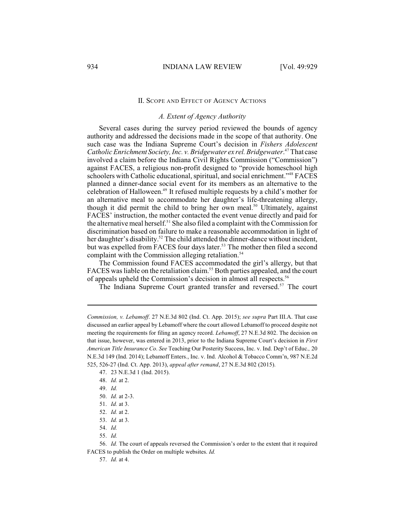### II. SCOPE AND EFFECT OF AGENCY ACTIONS

### *A. Extent of Agency Authority*

Several cases during the survey period reviewed the bounds of agency authority and addressed the decisions made in the scope of that authority. One such case was the Indiana Supreme Court's decision in *Fishers Adolescent* Catholic Enrichment Society, Inc. v. Bridgewater ex rel. Bridgewater.<sup>47</sup> That case involved a claim before the Indiana Civil Rights Commission ("Commission") against FACES, a religious non-profit designed to "provide homeschool high schoolers with Catholic educational, spiritual, and social enrichment."<sup>48</sup> FACES planned a dinner-dance social event for its members as an alternative to the celebration of Halloween.<sup>49</sup> It refused multiple requests by a child's mother for an alternative meal to accommodate her daughter's life-threatening allergy, though it did permit the child to bring her own meal.<sup>50</sup> Ultimately, against FACES' instruction, the mother contacted the event venue directly and paid for the alternative meal herself.<sup>51</sup> She also filed a complaint with the Commission for discrimination based on failure to make a reasonable accommodation in light of her daughter's disability.<sup>52</sup> The child attended the dinner-dance without incident, but was expelled from FACES four days later.<sup>53</sup> The mother then filed a second complaint with the Commission alleging retaliation.<sup>54</sup>

The Commission found FACES accommodated the girl's allergy, but that FACES was liable on the retaliation claim.<sup>55</sup> Both parties appealed, and the court of appeals upheld the Commission's decision in almost all respects.<sup>56</sup>

The Indiana Supreme Court granted transfer and reversed.<sup>57</sup> The court

55. *Id.*

57. *Id.* at 4.

*Commission, v. Lebamoff*. 27 N.E.3d 802 (Ind. Ct. App. 2015); *see supra* Part III.A. That case discussed an earlier appeal by Lebamoff where the court allowed Lebamoff to proceed despite not meeting the requirements for filing an agency record. *Lebamoff*, 27 N.E.3d 802. The decision on that issue, however, was entered in 2013, prior to the Indiana Supreme Court's decision in *First American Title Insurance Co*. *See* Teaching Our Posterity Success, Inc. v. Ind. Dep't of Educ.*,* 20 N.E.3d 149 (Ind. 2014); Lebamoff Enters., Inc. v. Ind. Alcohol & Tobacco Comm'n, 987 N.E.2d 525, 526-27 (Ind. Ct. App. 2013), *appeal after remand*, 27 N.E.3d 802 (2015).

<sup>47.</sup> 23 N.E.3d 1 (Ind. 2015).

<sup>48.</sup> *Id.* at 2.

<sup>49.</sup> *Id.*

<sup>50.</sup> *Id.* at 2-3.

<sup>51.</sup> *Id.* at 3.

<sup>52.</sup> *Id.* at 2.

<sup>53.</sup> *Id.* at 3.

<sup>54.</sup> *Id.*

<sup>56.</sup> *Id.* The court of appeals reversed the Commission's order to the extent that it required FACES to publish the Order on multiple websites. *Id.*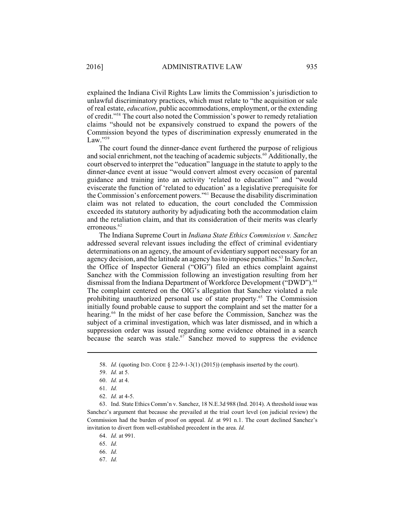explained the Indiana Civil Rights Law limits the Commission's jurisdiction to unlawful discriminatory practices, which must relate to "the acquisition or sale of real estate, *education*, public accommodations, employment, or the extending of credit."<sup>58</sup> The court also noted the Commission's power to remedy retaliation claims "should not be expansively construed to expand the powers of the Commission beyond the types of discrimination expressly enumerated in the Law."<sup>59</sup>

The court found the dinner-dance event furthered the purpose of religious and social enrichment, not the teaching of academic subjects. $60$  Additionally, the court observed to interpret the "education" language in the statute to apply to the dinner-dance event at issue "would convert almost every occasion of parental guidance and training into an activity 'related to education'" and "would eviscerate the function of 'related to education' as a legislative prerequisite for the Commission's enforcement powers."<sup>61</sup> Because the disability discrimination claim was not related to education, the court concluded the Commission exceeded its statutory authority by adjudicating both the accommodation claim and the retaliation claim, and that its consideration of their merits was clearly erroneous.<sup>62</sup>

The Indiana Supreme Court in *Indiana State Ethics Commission v. Sanchez* addressed several relevant issues including the effect of criminal evidentiary determinations on an agency, the amount of evidentiary support necessary for an agency decision, and the latitude an agency has to impose penalties.<sup>63</sup> In *Sanchez*, the Office of Inspector General ("OIG") filed an ethics complaint against Sanchez with the Commission following an investigation resulting from her dismissal from the Indiana Department of Workforce Development ("DWD").<sup>64</sup> The complaint centered on the OIG's allegation that Sanchez violated a rule prohibiting unauthorized personal use of state property.<sup>65</sup> The Commission initially found probable cause to support the complaint and set the matter for a hearing.<sup>66</sup> In the midst of her case before the Commission, Sanchez was the subject of a criminal investigation, which was later dismissed, and in which a suppression order was issued regarding some evidence obtained in a search because the search was stale. $67$  Sanchez moved to suppress the evidence

67. *Id.*

<sup>58.</sup> *Id.* (quoting IND. CODE § 22-9-1-3(1) (2015)) (emphasis inserted by the court).

<sup>59.</sup> *Id.* at 5.

<sup>60.</sup> *Id.* at 4.

<sup>61.</sup> *Id.*

<sup>62.</sup> *Id.* at 4-5.

<sup>63.</sup> Ind. State Ethics Comm'n v. Sanchez, 18 N.E.3d 988 (Ind. 2014). A threshold issue was Sanchez's argument that because she prevailed at the trial court level (on judicial review) the Commission had the burden of proof on appeal. *Id.* at 991 n.1. The court declined Sanchez's invitation to divert from well-established precedent in the area. *Id.*

<sup>64.</sup> *Id.* at 991.

<sup>65.</sup> *Id.*

<sup>66.</sup> *Id.*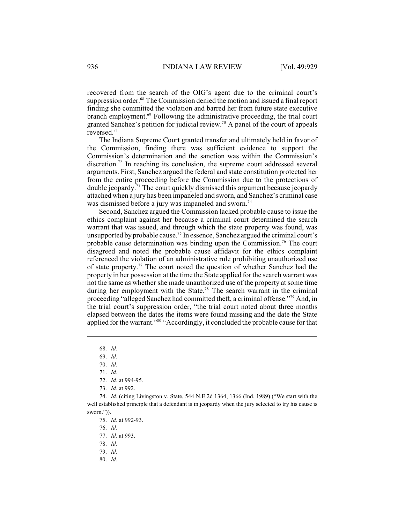recovered from the search of the OIG's agent due to the criminal court's suppression order.<sup>68</sup> The Commission denied the motion and issued a final report finding she committed the violation and barred her from future state executive branch employment.<sup>69</sup> Following the administrative proceeding, the trial court granted Sanchez's petition for judicial review.<sup>70</sup> A panel of the court of appeals reversed.<sup>71</sup>

The Indiana Supreme Court granted transfer and ultimately held in favor of the Commission, finding there was sufficient evidence to support the Commission's determination and the sanction was within the Commission's discretion.<sup>72</sup> In reaching its conclusion, the supreme court addressed several arguments. First, Sanchez argued the federal and state constitution protected her from the entire proceeding before the Commission due to the protections of double jeopardy.<sup>73</sup> The court quickly dismissed this argument because jeopardy attached when a jury has been impaneled and sworn, and Sanchez's criminal case was dismissed before a jury was impaneled and sworn.<sup>74</sup>

Second, Sanchez argued the Commission lacked probable cause to issue the ethics complaint against her because a criminal court determined the search warrant that was issued, and through which the state property was found, was unsupported by probable cause.<sup>75</sup> In essence, Sanchez argued the criminal court's probable cause determination was binding upon the Commission.<sup>76</sup> The court disagreed and noted the probable cause affidavit for the ethics complaint referenced the violation of an administrative rule prohibiting unauthorized use of state property.<sup> $77$ </sup> The court noted the question of whether Sanchez had the property in her possession at the time the State applied for the search warrant was not the same as whether she made unauthorized use of the property at some time during her employment with the State.<sup>78</sup> The search warrant in the criminal proceeding "alleged Sanchez had committed theft, a criminal offense."<sup>79</sup> And, in the trial court's suppression order, "the trial court noted about three months elapsed between the dates the items were found missing and the date the State applied for the warrant."<sup>80</sup> "Accordingly, it concluded the probable cause for that

76. *Id.*

<sup>68.</sup> *Id.*

<sup>69.</sup> *Id.*

<sup>70.</sup> *Id.*

<sup>71.</sup> *Id.*

<sup>72.</sup> *Id.* at 994-95.

<sup>73.</sup> *Id.* at 992.

<sup>74.</sup> *Id.* (citing Livingston v. State, 544 N.E.2d 1364, 1366 (Ind. 1989) ("We start with the well established principle that a defendant is in jeopardy when the jury selected to try his cause is sworn.")).

<sup>75.</sup> *Id.* at 992-93.

<sup>77.</sup> *Id.* at 993.

<sup>78.</sup> *Id.*

<sup>79.</sup> *Id.* 

<sup>80.</sup> *Id.*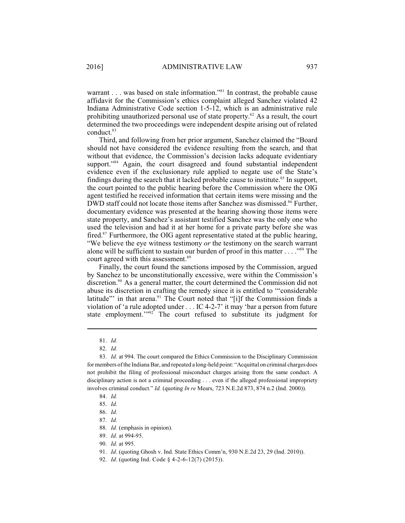warrant . . . was based on stale information."<sup>81</sup> In contrast, the probable cause affidavit for the Commission's ethics complaint alleged Sanchez violated 42 Indiana Administrative Code section 1-5-12, which is an administrative rule prohibiting unauthorized personal use of state property.<sup>82</sup> As a result, the court determined the two proceedings were independent despite arising out of related conduct.<sup>83</sup>

Third, and following from her prior argument, Sanchez claimed the "Board should not have considered the evidence resulting from the search, and that without that evidence, the Commission's decision lacks adequate evidentiary support."<sup>84</sup> Again, the court disagreed and found substantial independent evidence even if the exclusionary rule applied to negate use of the State's findings during the search that it lacked probable cause to institute.<sup>85</sup> In support, the court pointed to the public hearing before the Commission where the OIG agent testified he received information that certain items were missing and the DWD staff could not locate those items after Sanchez was dismissed.<sup>86</sup> Further, documentary evidence was presented at the hearing showing those items were state property, and Sanchez's assistant testified Sanchez was the only one who used the television and had it at her home for a private party before she was fired.<sup>87</sup> Furthermore, the OIG agent representative stated at the public hearing, "We believe the eye witness testimony *or* the testimony on the search warrant alone will be sufficient to sustain our burden of proof in this matter . . . ." The <sup>88</sup> court agreed with this assessment.<sup>89</sup>

Finally, the court found the sanctions imposed by the Commission, argued by Sanchez to be unconstitutionally excessive, were within the Commission's discretion. $90$  As a general matter, the court determined the Commission did not abuse its discretion in crafting the remedy since it is entitled to '"considerable latitude" in that arena. $91$  The Court noted that "[i]f the Commission finds a violation of 'a rule adopted under . . . IC 4-2-7' it may 'bar a person from future state employment." $2^{92}$  The court refused to substitute its judgment for

- 89. *Id.* at 994-95.
- 90. *Id.* at 995.

<sup>81.</sup> *Id.*

<sup>82.</sup> *Id.* 

<sup>83.</sup> *Id.* at 994. The court compared the Ethics Commission to the Disciplinary Commission for members of the Indiana Bar, and repeated a long-held point: "Acquittal on criminal charges does not prohibit the filing of professional misconduct charges arising from the same conduct. A disciplinary action is not a criminal proceeding . . . even if the alleged professional impropriety involves criminal conduct." *Id.* (quoting *In re* Mears, 723 N.E.2d 873, 874 n.2 (Ind. 2000)).

<sup>84.</sup> *Id.* 

<sup>85.</sup> *Id.*

<sup>86.</sup> *Id.*

<sup>87.</sup> *Id.*

<sup>88.</sup> *Id.* (emphasis in opinion).

<sup>91.</sup> *Id*. (quoting Ghosh v. Ind. State Ethics Comm'n, 930 N.E.2d 23, 29 (Ind. 2010)).

<sup>92.</sup> *Id*. (quoting Ind. Code § 4-2-6-12(7) (2015)).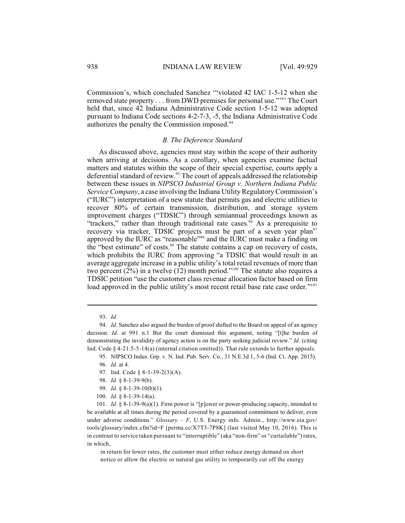Commission's, which concluded Sanchez '"violated 42 IAC 1-5-12 when she removed state property . . . from DWD premises for personal use."<sup>93</sup> The Court held that, since 42 Indiana Administrative Code section 1-5-12 was adopted pursuant to Indiana Code sections 4-2-7-3, -5, the Indiana Administrative Code authorizes the penalty the Commission imposed.<sup>94</sup>

#### *B. The Deference Standard*

As discussed above, agencies must stay within the scope of their authority when arriving at decisions. As a corollary, when agencies examine factual matters and statutes within the scope of their special expertise, courts apply a deferential standard of review.<sup>95</sup> The court of appeals addressed the relationship between these issues in *NIPSCO Industrial Group v. Northern Indiana Public Service Company*, a case involving the Indiana Utility Regulatory Commission's ("IURC") interpretation of a new statute that permits gas and electric utilities to recover 80% of certain transmission, distribution, and storage system improvement charges ("TDSIC") through semiannual proceedings known as "trackers," rather than through traditional rate cases. $96$  As a prerequisite to recovery via tracker, TDSIC projects must be part of a seven year plan<sup>97</sup> approved by the IURC as "reasonable"<sup>98</sup> and the IURC must make a finding on the "best estimate" of costs.<sup>99</sup> The statute contains a cap on recovery of costs, which prohibits the IURC from approving "a TDSIC that would result in an average aggregate increase in a public utility's total retail revenues of more than two percent  $(2%)$  in a twelve  $(12)$  month period."<sup>100</sup> The statute also requires a TDSIC petition "use the customer class revenue allocation factor based on firm load approved in the public utility's most recent retail base rate case order."<sup>101</sup>

in return for lower rates, the customer must either reduce energy demand on short notice or allow the electric or natural gas utility to temporarily cut off the energy

<sup>93.</sup> *Id.*

<sup>94.</sup> *Id.* Sanchez also argued the burden of proof shifted to the Board on appeal of an agency decision. *Id*. at 991 n.1 But the court dismissed this argument, noting "[t]he burden of demonstrating the invalidity of agency action is on the party seeking judicial review." *Id*. (citing Ind. Code  $\S$  4-21.5-5-14(a) (internal citation omitted)). That rule extends to further appeals.

<sup>95.</sup> NIPSCO Indus. Grp. v. N. Ind. Pub. Serv. Co., 31 N.E.3d 1, 5-6 (Ind. Ct. App. 2015). 96. *Id.* at 4.

<sup>97.</sup> Ind. Code § 8-1-39-2(3)(A).

<sup>98.</sup> *Id.* § 8-1-39-9(b).

<sup>99.</sup> *Id*. § 8-1-39-10(b)(1).

<sup>100.</sup> *Id*. § 8-1-39-14(a).

<sup>101.</sup> *Id*. § 8-1-39-9(a)(1). Firm power is "[p]ower or power-producing capacity, intended to be available at all times during the period covered by a guaranteed commitment to deliver, even under adverse conditions." *Glossary – F*, U.S. Energy info. Admin., http://www.eia.gov/ tools/glossary/index.cfm?id=F [perma.cc/X7T3-7P8K] (last visited May 10, 2016). This is in contrast to service taken pursuant to "interruptible" (aka "non-firm" or "curtailable") rates, in which,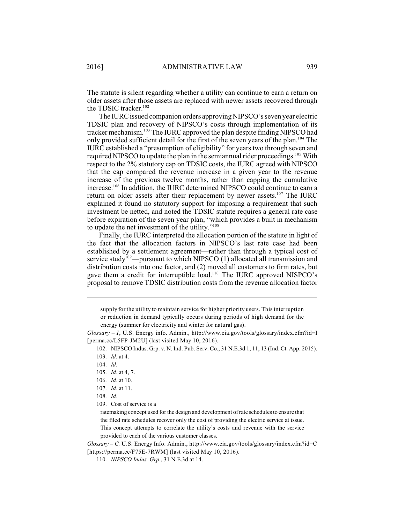The statute is silent regarding whether a utility can continue to earn a return on older assets after those assets are replaced with newer assets recovered through the TDSIC tracker. 102

The IURC issued companion orders approving NIPSCO's seven year electric TDSIC plan and recovery of NIPSCO's costs through implementation of its tracker mechanism.<sup>103</sup> The IURC approved the plan despite finding NIPSCO had only provided sufficient detail for the first of the seven years of the plan.<sup>104</sup> The IURC established a "presumption of eligibility" for years two through seven and required NIPSCO to update the plan in the semiannual rider proceedings.<sup>105</sup> With respect to the 2% statutory cap on TDSIC costs, the IURC agreed with NIPSCO that the cap compared the revenue increase in a given year to the revenue increase of the previous twelve months, rather than capping the cumulative increase.<sup>106</sup> In addition, the IURC determined NIPSCO could continue to earn a return on older assets after their replacement by newer assets.<sup>107</sup> The IURC explained it found no statutory support for imposing a requirement that such investment be netted, and noted the TDSIC statute requires a general rate case before expiration of the seven year plan, "which provides a built in mechanism to update the net investment of the utility." $108$ 

Finally, the IURC interpreted the allocation portion of the statute in light of the fact that the allocation factors in NIPSCO's last rate case had been established by a settlement agreement—rather than through a typical cost of service study<sup>109</sup>—pursuant to which NIPSCO  $(1)$  allocated all transmission and distribution costs into one factor, and (2) moved all customers to firm rates, but gave them a credit for interruptible load.<sup>110</sup> The IURC approved NISPCO's proposal to remove TDSIC distribution costs from the revenue allocation factor

or reduction in demand typically occurs during periods of high demand for the energy (summer for electricity and winter for natural gas).

supply for the utility to maintain service for higher priority users. This interruption

*Glossary – I*, U.S. Energy info. Admin., http://www.eia.gov/tools/glossary/index.cfm?id=I [perma.cc/L5FP-JM2U] (last visited May 10, 2016).

<sup>102.</sup> NIPSCO Indus. Grp. v. N. Ind. Pub. Serv. Co., 31 N.E.3d 1, 11, 13 (Ind. Ct. App. 2015).

<sup>103.</sup> *Id.* at 4.

<sup>104.</sup> *Id.* 

<sup>105.</sup> *Id.* at 4, 7.

<sup>106.</sup> *Id.* at 10.

<sup>107.</sup> *Id.* at 11.

<sup>108.</sup> *Id.*

<sup>109.</sup> Cost of service is a

ratemaking concept used for the design and development of rate schedules to ensure that the filed rate schedules recover only the cost of providing the electric service at issue. This concept attempts to correlate the utility's costs and revenue with the service provided to each of the various customer classes.

*Glossary – C,* U.S. Energy Info. Admin., http://www.eia.gov/tools/glossary/index.cfm?id=C [https://perma.cc/F75E-7RWM] (last visited May 10, 2016).

<sup>110.</sup> *NIPSCO Indus. Grp.*, 31 N.E.3d at 14.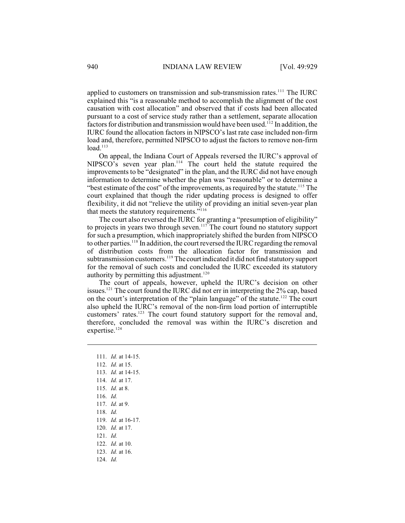applied to customers on transmission and sub-transmission rates.<sup> $111$ </sup> The IURC explained this "is a reasonable method to accomplish the alignment of the cost causation with cost allocation" and observed that if costs had been allocated pursuant to a cost of service study rather than a settlement, separate allocation factors for distribution and transmission would have been used. <sup>112</sup> In addition, the IURC found the allocation factors in NIPSCO's last rate case included non-firm load and, therefore, permitted NIPSCO to adjust the factors to remove non-firm  $load.<sup>113</sup>$ 

On appeal, the Indiana Court of Appeals reversed the IURC's approval of NIPSCO's seven year plan.<sup>114</sup> The court held the statute required the improvements to be "designated" in the plan, and the IURC did not have enough information to determine whether the plan was "reasonable" or to determine a "best estimate of the cost" of the improvements, as required by the statute.<sup>115</sup> The court explained that though the rider updating process is designed to offer flexibility, it did not "relieve the utility of providing an initial seven-year plan that meets the statutory requirements."<sup>116</sup>

The court also reversed the IURC for granting a "presumption of eligibility" to projects in years two through seven.<sup>117</sup> The court found no statutory support for such a presumption, which inappropriately shifted the burden from NIPSCO to other parties.<sup>118</sup> In addition, the court reversed the IURC regarding the removal of distribution costs from the allocation factor for transmission and subtransmission customers.<sup>119</sup> The court indicated it did not find statutory support for the removal of such costs and concluded the IURC exceeded its statutory authority by permitting this adjustment.<sup>120</sup>

The court of appeals, however, upheld the IURC's decision on other issues.<sup>121</sup> The court found the IURC did not err in interpreting the  $2\%$  cap, based on the court's interpretation of the "plain language" of the statute.<sup>122</sup> The court also upheld the IURC's removal of the non-firm load portion of interruptible customers' rates.<sup>123</sup> The court found statutory support for the removal and, therefore, concluded the removal was within the IURC's discretion and expertise.<sup>124</sup>

111. *Id.* at 14-15. 112. *Id.* at 15. 113. *Id.* at 14-15. 114. *Id.* at 17. 115. *Id.* at 8. 116. *Id.* 117. *Id.* at 9. 118. *Id.* 119. *Id.* at 16-17. 120. *Id.* at 17. 121. *Id.*  122. *Id.* at 10. 123. *Id.* at 16. 124. *Id.*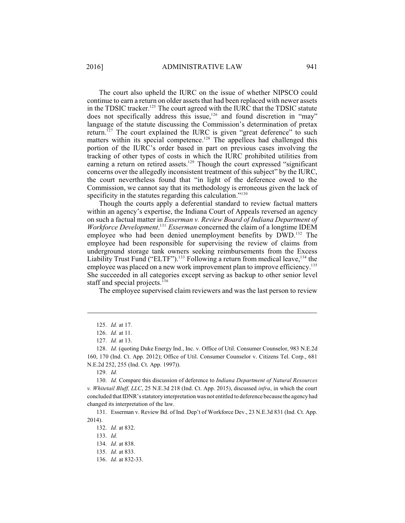The court also upheld the IURC on the issue of whether NIPSCO could continue to earn a return on older assets that had been replaced with newer assets in the TDSIC tracker.<sup>125</sup> The court agreed with the IURC that the TDSIC statute does not specifically address this issue,<sup>126</sup> and found discretion in "may" language of the statute discussing the Commission's determination of pretax return.<sup>127</sup> The court explained the IURC is given "great deference" to such matters within its special competence.<sup>128</sup> The appellees had challenged this portion of the IURC's order based in part on previous cases involving the tracking of other types of costs in which the IURC prohibited utilities from earning a return on retired assets.<sup>129</sup> Though the court expressed "significant concerns over the allegedly inconsistent treatment of this subject" by the IURC, the court nevertheless found that "in light of the deference owed to the Commission, we cannot say that its methodology is erroneous given the lack of specificity in the statutes regarding this calculation."<sup>130</sup>

Though the courts apply a deferential standard to review factual matters within an agency's expertise, the Indiana Court of Appeals reversed an agency on such a factual matter in *Esserman v. Review Board of Indiana Department of Workforce Development*. <sup>131</sup> *Esserman* concerned the claim of a longtime IDEM employee who had been denied unemployment benefits by DWD.<sup>132</sup> The employee had been responsible for supervising the review of claims from underground storage tank owners seeking reimbursements from the Excess Liability Trust Fund ("ELTF").<sup>133</sup> Following a return from medical leave,<sup>134</sup> the employee was placed on a new work improvement plan to improve efficiency.<sup>135</sup> She succeeded in all categories except serving as backup to other senior level staff and special projects.<sup>136</sup>

The employee supervised claim reviewers and was the last person to review

131. Esserman v. Review Bd. of Ind. Dep't of Workforce Dev., 23 N.E.3d 831 (Ind. Ct. App. 2014).

<sup>125.</sup> *Id.* at 17.

<sup>126.</sup> *Id.* at 11.

<sup>127.</sup> *Id.* at 13.

<sup>128.</sup> *Id.* (quoting Duke Energy Ind., Inc. v. Office of Util. Consumer Counselor, 983 N.E.2d 160, 170 (Ind. Ct. App. 2012); Office of Util. Consumer Counselor v. Citizens Tel. Corp., 681 N.E.2d 252, 255 (Ind. Ct. App. 1997)).

<sup>129.</sup> *Id.*

<sup>130.</sup> *Id.* Compare this discussion of deference to *Indiana Department of Natural Resources v. Whitetail Bluff, LLC*, 25 N.E.3d 218 (Ind. Ct. App. 2015), discussed *infra*, in which the court concluded that IDNR's statutory interpretation was not entitled to deference because the agency had changed its interpretation of the law.

<sup>132.</sup> *Id.* at 832.

<sup>133.</sup> *Id.*

<sup>134.</sup> *Id.* at 838.

<sup>135.</sup> *Id.* at 833.

<sup>136.</sup> *Id.* at 832-33.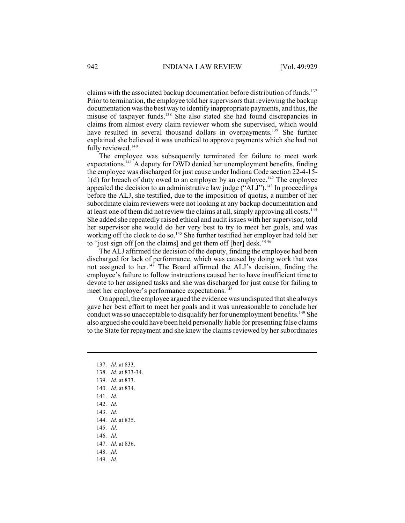claims with the associated backup documentation before distribution of funds.<sup>137</sup> Prior to termination, the employee told her supervisors that reviewing the backup documentation was the best way to identify inappropriate payments, and thus, the misuse of taxpayer funds.<sup>138</sup> She also stated she had found discrepancies in claims from almost every claim reviewer whom she supervised, which would have resulted in several thousand dollars in overpayments.<sup>139</sup> She further explained she believed it was unethical to approve payments which she had not fully reviewed.<sup>140</sup>

The employee was subsequently terminated for failure to meet work expectations.<sup>141</sup> A deputy for DWD denied her unemployment benefits, finding the employee was discharged for just cause under Indiana Code section 22-4-15-  $1(d)$  for breach of duty owed to an employer by an employee.<sup>142</sup> The employee appealed the decision to an administrative law judge  $("ALJ")$ .<sup>143</sup> In proceedings before the ALJ, she testified, due to the imposition of quotas, a number of her subordinate claim reviewers were not looking at any backup documentation and at least one of them did not review the claims at all, simply approving all costs.<sup>144</sup> She added she repeatedly raised ethical and audit issues with her supervisor, told her supervisor she would do her very best to try to meet her goals, and was working off the clock to do so.<sup>145</sup> She further testified her employer had told her to "just sign off [on the claims] and get them off [her] desk."<sup>146</sup>

The ALJ affirmed the decision of the deputy, finding the employee had been discharged for lack of performance, which was caused by doing work that was not assigned to her.<sup>147</sup> The Board affirmed the ALJ's decision, finding the employee's failure to follow instructions caused her to have insufficient time to devote to her assigned tasks and she was discharged for just cause for failing to meet her employer's performance expectations.<sup>148</sup>

On appeal, the employee argued the evidence was undisputed that she always gave her best effort to meet her goals and it was unreasonable to conclude her conduct was so unacceptable to disqualify her for unemployment benefits.<sup>149</sup> She also argued she could have been held personally liable for presenting false claims to the State for repayment and she knew the claims reviewed by her subordinates

- 137. *Id.* at 833.
- 138. *Id.* at 833-34.
- 139. *Id*. at 833.
- 140. *Id*. at 834.
- 141. *Id*.
- 142. *Id*.
- 143. *Id.*
- 144. *Id*. at 835.
- 145. *Id*.
- 146. *Id*.
- 147. *Id*. at 836.
- 148. *Id*.
- 149. *Id*.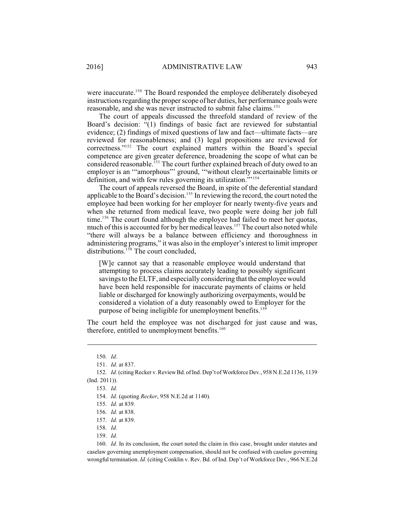were inaccurate.<sup>150</sup> The Board responded the employee deliberately disobeyed instructions regarding the properscope of her duties, her performance goals were reasonable, and she was never instructed to submit false claims.<sup>151</sup>

The court of appeals discussed the threefold standard of review of the Board's decision: "(1) findings of basic fact are reviewed for substantial evidence; (2) findings of mixed questions of law and fact—ultimate facts—are reviewed for reasonableness; and (3) legal propositions are reviewed for  $correctness." <sup>152</sup>$  The court explained matters within the Board's special competence are given greater deference, broadening the scope of what can be considered reasonable.<sup>153</sup> The court further explained breach of duty owed to an employer is an '"amorphous"' ground, '"without clearly ascertainable limits or definition, and with few rules governing its utilization."<sup>154</sup>

The court of appeals reversed the Board, in spite of the deferential standard applicable to the Board's decision.<sup>155</sup> In reviewing the record, the court noted the employee had been working for her employer for nearly twenty-five years and when she returned from medical leave, two people were doing her job full time.<sup>156</sup> The court found although the employee had failed to meet her quotas, much of this is accounted for by her medical leaves.<sup>157</sup> The court also noted while "there will always be a balance between efficiency and thoroughness in administering programs," it was also in the employer's interest to limit improper distributions.<sup>158</sup> The court concluded,

[W]e cannot say that a reasonable employee would understand that attempting to process claims accurately leading to possibly significant savings to the ELTF, and especially considering that the employee would have been held responsible for inaccurate payments of claims or held liable or discharged for knowingly authorizing overpayments, would be considered a violation of a duty reasonably owed to Employer for the purpose of being ineligible for unemployment benefits.<sup>159</sup>

The court held the employee was not discharged for just cause and was, therefore, entitled to unemployment benefits.<sup>160</sup>

<sup>150.</sup> *Id*.

<sup>151.</sup> *Id*. at 837.

<sup>152.</sup> *Id.* (citing Recker v. ReviewBd. of Ind. Dep't of Workforce Dev., 958 N.E.2d 1136, 1139 (Ind. 2011)).

<sup>153.</sup> *Id.*

<sup>154.</sup> *Id.* (quoting *Recker*, 958 N.E.2d at 1140).

<sup>155.</sup> *Id.* at 839.

<sup>156.</sup> *Id.* at 838.

<sup>157.</sup> *Id.* at 839.

<sup>158.</sup> *Id.*

<sup>159.</sup> *Id.*

<sup>160.</sup> *Id.* In its conclusion, the court noted the claim in this case, brought under statutes and caselaw governing unemployment compensation, should not be confused with caselaw governing wrongful termination. *Id.* (citing Conklin v. Rev. Bd. of Ind. Dep't of Workforce Dev., 966 N.E.2d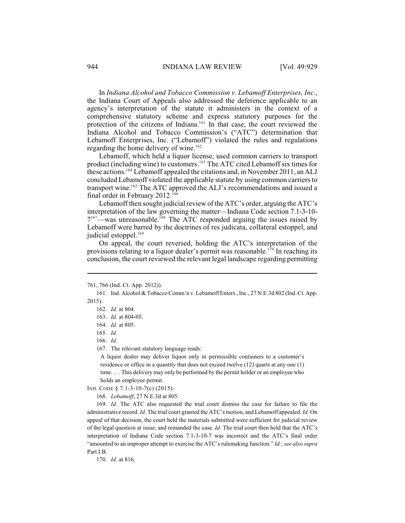In *Indiana Alcohol and Tobacco Commission v. Lebamoff Enterprises, Inc*., the Indiana Court of Appeals also addressed the deference applicable to an agency's interpretation of the statute it administers in the context of a comprehensive statutory scheme and express statutory purposes for the protection of the citizens of Indiana.<sup>161</sup> In that case, the court reviewed the Indiana Alcohol and Tobacco Commission's ("ATC") determination that Lebamoff Enterprises, Inc. ("Lebamoff") violated the rules and regulations regarding the home delivery of wine.<sup>162</sup>

Lebamoff, which held a liquor license, used common carriers to transport product (including wine) to customers.<sup>163</sup> The ATC cited Lebamoff six times for these actions.<sup>164</sup> Lebamoff appealed the citations and, in November 2011, an ALJ concluded Lebamoff violated the applicable statute by using common carriers to transport wine.<sup>165</sup> The ATC approved the ALJ's recommendations and issued a final order in February 2012.<sup>166</sup>

Lebamoff then sought judicial review of the ATC's order, arguing the ATC's interpretation of the law governing the matter—Indiana Code section 7.1-3-10-  $7^{167}$ —was unreasonable. <sup>T68</sup> The ATC responded arguing the issues raised by Lebamoff were barred by the doctrines of res judicata, collateral estoppel, and judicial estoppel.<sup>169</sup>

On appeal, the court reversed, holding the ATC's interpretation of the provisions relating to a liquor dealer's permit was reasonable.<sup>170</sup> In reaching its conclusion, the court reviewed the relevant legal landscape regarding permitting

166. *Id.*

167. The relevant statutory language reads:

A liquor dealer may deliver liquor only in permissible containers to a customer's residence or office in a quantity that does not exceed twelve (12) quarts at any one (1) time. . . . This delivery may only be performed by the permit holder or an employee who holds an employee permit.

IND. CODE § 7.1-3-10-7(c) (2015).

168. *Lebamoff*, 27 N.E.3d at 805.

169. *Id.* The ATC also requested the trial court dismiss the case for failure to file the administrative record. *Id.* The trial court granted the ATC's motion, and Lebamoff appealed. *Id.* On appeal of that decision, the court held the materials submitted were sufficient for judicial review of the legal question at issue, and remanded the case. *Id.* The trial court then held that the ATC's interpretation of Indiana Code section 7.1-3-10-7 was incorrect and the ATC's final order "amounted to an improper attempt to exercise the ATC's rulemaking function." *Id.*; *see also supra* Part I.B.

170. *Id.* at 816.

<sup>761, 766 (</sup>Ind. Ct. App. 2012)).

<sup>161.</sup> Ind. Alcohol & Tobacco Comm'n v. LebamoffEnters.,Inc., 27 N.E.3d 802 (Ind. Ct. App. 2015).

<sup>162.</sup> *Id.* at 804.

<sup>163.</sup> *Id.* at 804-05.

<sup>164.</sup> *Id.* at 805.

<sup>165.</sup> *Id.*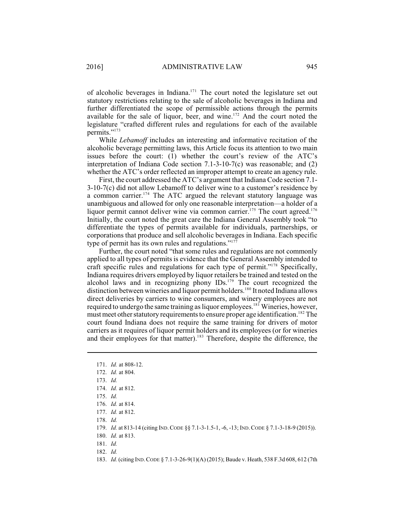of alcoholic beverages in Indiana.<sup>171</sup> The court noted the legislature set out statutory restrictions relating to the sale of alcoholic beverages in Indiana and further differentiated the scope of permissible actions through the permits available for the sale of liquor, beer, and wine.<sup>172</sup> And the court noted the legislature "crafted different rules and regulations for each of the available permits."<sup>173</sup>

While *Lebamoff* includes an interesting and informative recitation of the alcoholic beverage permitting laws, this Article focus its attention to two main issues before the court: (1) whether the court's review of the ATC's interpretation of Indiana Code section 7.1-3-10-7(c) was reasonable; and  $(2)$ whether the ATC's order reflected an improper attempt to create an agency rule.

First, the court addressed the ATC's argument that Indiana Code section 7.1- 3-10-7(c) did not allow Lebamoff to deliver wine to a customer's residence by a common carrier.<sup>174</sup> The ATC argued the relevant statutory language was unambiguous and allowed for only one reasonable interpretation—a holder of a liquor permit cannot deliver wine via common carrier.<sup> $175$ </sup> The court agreed.<sup>176</sup> Initially, the court noted the great care the Indiana General Assembly took "to differentiate the types of permits available for individuals, partnerships, or corporations that produce and sell alcoholic beverages in Indiana. Each specific type of permit has its own rules and regulations."<sup>177</sup>

Further, the court noted "that some rules and regulations are not commonly applied to all types of permits is evidence that the General Assembly intended to craft specific rules and regulations for each type of permit."<sup> $178$ </sup> Specifically, Indiana requires drivers employed by liquor retailers be trained and tested on the alcohol laws and in recognizing phony  $\text{IDs.}^{179}$  The court recognized the distinction between wineries and liquor permit holders.<sup>180</sup> It noted Indiana allows direct deliveries by carriers to wine consumers, and winery employees are not required to undergo the same training as liquor employees.<sup>181</sup> Wineries, however, must meet other statutory requirements to ensure proper age identification.<sup>182</sup> The court found Indiana does not require the same training for drivers of motor carriers as it requires of liquor permit holders and its employees (or for wineries and their employees for that matter).<sup>183</sup> Therefore, despite the difference, the

- 181. *Id.*
- 182. *Id.*

<sup>171.</sup> *Id.* at 808-12.

<sup>172.</sup> *Id.* at 804.

<sup>173.</sup> *Id.*

<sup>174.</sup> *Id.* at 812.

<sup>175.</sup> *Id.*

<sup>176.</sup> *Id.* at 814.

<sup>177.</sup> *Id.* at 812.

<sup>178.</sup> *Id.*

<sup>179.</sup> *Id.* at 813-14 (citing IND.CODE §§ 7.1-3-1.5-1, -6, -13; IND.CODE § 7.1-3-18-9 (2015)).

<sup>180.</sup> *Id.* at 813.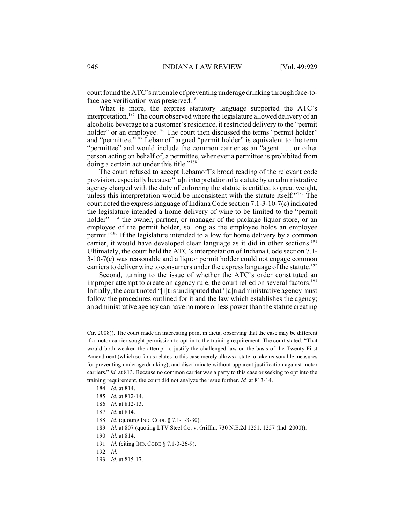court found the ATC's rationale of preventing underage drinking through face-toface age verification was preserved.<sup>184</sup>

What is more, the express statutory language supported the ATC's interpretation.<sup>185</sup> The court observed where the legislature allowed delivery of an alcoholic beverage to a customer's residence, it restricted delivery to the "permit holder" or an employee.<sup>186</sup> The court then discussed the terms "permit holder" and "permittee." $\frac{1}{87}$  Lebamoff argued "permit holder" is equivalent to the term "permittee" and would include the common carrier as an "agent . . . or other person acting on behalf of, a permittee, whenever a permittee is prohibited from doing a certain act under this title."<sup>188</sup>

The court refused to accept Lebamoff's broad reading of the relevant code provision, especially because "[a]n interpretation of a statute by an administrative agency charged with the duty of enforcing the statute is entitled to great weight, unless this interpretation would be inconsistent with the statute itself." $189$  The court noted the express language of Indiana Code section 7.1-3-10-7(c) indicated the legislature intended a home delivery of wine to be limited to the "permit holder"—" the owner, partner, or manager of the package liquor store, or an employee of the permit holder, so long as the employee holds an employee permit."<sup>190</sup> If the legislature intended to allow for home delivery by a common carrier, it would have developed clear language as it did in other sections. 191 Ultimately, the court held the ATC's interpretation of Indiana Code section 7.1- 3-10-7(c) was reasonable and a liquor permit holder could not engage common carriers to deliver wine to consumers under the express language of the statute.<sup>192</sup>

Second, turning to the issue of whether the ATC's order constituted an improper attempt to create an agency rule, the court relied on several factors.<sup>193</sup> Initially, the court noted "[i]t is undisputed that '[a]n administrative agency must follow the procedures outlined for it and the law which establishes the agency; an administrative agency can have no more or less power than the statute creating

193. *Id.* at 815-17.

Cir. 2008)). The court made an interesting point in dicta, observing that the case may be different if a motor carrier sought permission to opt-in to the training requirement. The court stated: "That would both weaken the attempt to justify the challenged law on the basis of the Twenty-First Amendment (which so far as relates to this case merely allows a state to take reasonable measures for preventing underage drinking), and discriminate without apparent justification against motor carriers." *Id.* at 813. Because no common carrier was a party to this case or seeking to opt into the training requirement, the court did not analyze the issue further. *Id.* at 813-14.

<sup>184.</sup> *Id.* at 814.

<sup>185.</sup> *Id.* at 812-14.

<sup>186.</sup> *Id.* at 812-13.

<sup>187.</sup> *Id.* at 814.

<sup>188.</sup> *Id.* (quoting IND. CODE § 7.1-1-3-30).

<sup>189.</sup> *Id.* at 807 (quoting LTV Steel Co. v. Griffin, 730 N.E.2d 1251, 1257 (Ind. 2000)).

<sup>190.</sup> *Id.* at 814.

<sup>191.</sup> *Id.* (citing IND. CODE § 7.1-3-26-9).

<sup>192.</sup> *Id.*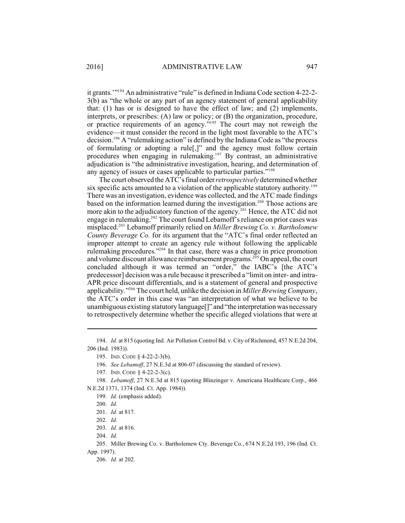it grants."<sup>194</sup> An administrative "rule" is defined in Indiana Code section 4-22-2-3(b) as "the whole or any part of an agency statement of general applicability that: (1) has or is designed to have the effect of law; and (2) implements, interprets, or prescribes: (A) law or policy; or (B) the organization, procedure, or practice requirements of an agency."<sup>195</sup> The court may not reweigh the evidence—it must consider the record in the light most favorable to the ATC's decision.<sup>196</sup> A "rulemaking action" is defined by the Indiana Code as "the process of formulating or adopting a rule[,]" and the agency must follow certain procedures when engaging in rulemaking.<sup>197</sup> By contrast, an administrative adjudication is "the administrative investigation, hearing, and determination of any agency of issues or cases applicable to particular parties."<sup>198</sup>

The court observed the ATC'sfinal order *retrospectively* determined whether six specific acts amounted to a violation of the applicable statutory authority.<sup>199</sup> There was an investigation, evidence was collected, and the ATC made findings based on the information learned during the investigation.<sup>200</sup> Those actions are more akin to the adjudicatory function of the agency.<sup>201</sup> Hence, the ATC did not engage in rulemaking.<sup>202</sup> The court found Lebamoff's reliance on prior cases was misplaced.<sup>203</sup> Lebamoff primarily relied on *Miller Brewing Co. v. Bartholomew County Beverage Co.* for its argument that the "ATC's final order reflected an improper attempt to create an agency rule without following the applicable rulemaking procedures."<sup>204</sup> In that case, there was a change in price promotion and volume discount allowance reimbursement programs.  $205$  On appeal, the court concluded although it was termed an "order," the IABC's [the ATC's predecessor] decision was a rule because it prescribed a "limit on inter- and intra-APR price discount differentials, and is a statement of general and prospective applicability."<sup>206</sup> The court held, unlike the decision in *Miller Brewing Company*, the ATC's order in this case was "an interpretation of what we believe to be unambiguous existing statutory language<sup>[]"</sup> and "the interpretation was necessary to retrospectively determine whether the specific alleged violations that were at

204. *Id.*

<sup>194.</sup> *Id.* at 815 (quoting Ind. Air Pollution Control Bd. v. City of Richmond, 457 N.E.2d 204, 206 (Ind. 1983)).

<sup>195.</sup> IND. CODE § 4-22-2-3(b).

<sup>196.</sup> *See Lebamoff*, 27 N.E.3d at 806-07 (discussing the standard of review).

<sup>197.</sup> IND. CODE § 4-22-2-3(c).

<sup>198.</sup> *Lebamoff*, 27 N.E.3d at 815 (quoting Blinzinger v. Americana Healthcare Corp., 466 N.E.2d 1371, 1374 (Ind. Ct. App. 1984)).

<sup>199.</sup> *Id.* (emphasis added).

<sup>200.</sup> *Id.*

<sup>201.</sup> *Id.* at 817.

<sup>202.</sup> *Id.*

<sup>203.</sup> *Id.* at 816.

<sup>205.</sup> Miller Brewing Co. v. Bartholemew Cty. Beverage Co., 674 N.E.2d 193, 196 (Ind. Ct. App. 1997).

<sup>206.</sup> *Id.* at 202.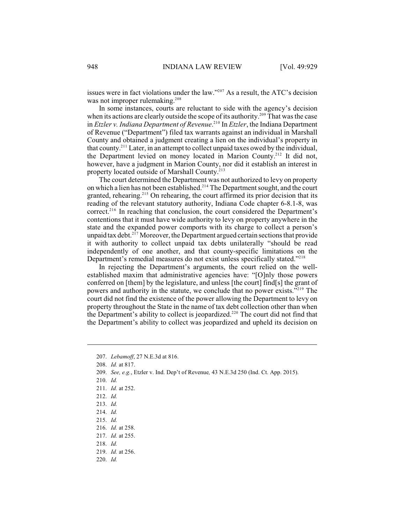issues were in fact violations under the law."<sup> $207$ </sup> As a result, the ATC's decision was not improper rulemaking.<sup>208</sup>

In some instances, courts are reluctant to side with the agency's decision when its actions are clearly outside the scope of its authority.<sup>209</sup> That was the case in *Etzler v. Indiana Department of Revenue*<sup>210</sup> In *Etzler*, the Indiana Department of Revenue ("Department") filed tax warrants against an individual in Marshall County and obtained a judgment creating a lien on the individual's property in that county.<sup>211</sup> Later, in an attempt to collect unpaid taxes owed by the individual, the Department levied on money located in Marion County.<sup>212</sup> It did not, however, have a judgment in Marion County, nor did it establish an interest in property located outside of Marshall County.<sup>213</sup>

The court determined the Department was not authorized to levy on property on which a lien has not been established.<sup>214</sup> The Department sought, and the court granted, rehearing.<sup>215</sup> On rehearing, the court affirmed its prior decision that its reading of the relevant statutory authority, Indiana Code chapter 6-8.1-8, was  $correct.^{216}$  In reaching that conclusion, the court considered the Department's contentions that it must have wide authority to levy on property anywhere in the state and the expanded power comports with its charge to collect a person's unpaid tax debt.<sup>217</sup> Moreover, the Department argued certain sections that provide it with authority to collect unpaid tax debts unilaterally "should be read independently of one another, and that county-specific limitations on the Department's remedial measures do not exist unless specifically stated."<sup>218</sup>

In rejecting the Department's arguments, the court relied on the wellestablished maxim that administrative agencies have: "[O]nly those powers conferred on [them] by the legislature, and unless [the court] find[s] the grant of powers and authority in the statute, we conclude that no power exists. $^{3219}$  The court did not find the existence of the power allowing the Department to levy on property throughout the State in the name of tax debt collection other than when the Department's ability to collect is jeopardized.<sup>220</sup> The court did not find that the Department's ability to collect was jeopardized and upheld its decision on

- 210. *Id.*
- 211. *Id.* at 252.
- 212. *Id.*
- 213. *Id.*
- 214. *Id.*
- 215. *Id.*
- 216. *Id.* at 258.
- 217. *Id.* at 255.
- 218. *Id.*
- 219. *Id.* at 256.
- 220. *Id.*

<sup>207.</sup> *Lebamoff*, 27 N.E.3d at 816.

<sup>208.</sup> *Id.* at 817.

<sup>209.</sup> *See, e.g.*, Etzler v. Ind. Dep't of Revenue*,* 43 N.E.3d 250 (Ind. Ct. App. 2015).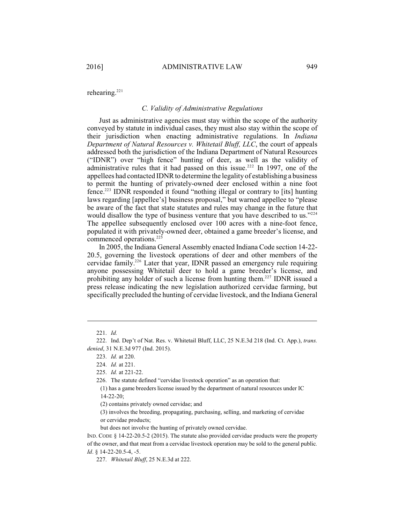rehearing.<sup>221</sup>

### *C. Validity of Administrative Regulations*

Just as administrative agencies must stay within the scope of the authority conveyed by statute in individual cases, they must also stay within the scope of their jurisdiction when enacting administrative regulations. In *Indiana Department of Natural Resources v. Whitetail Bluff, LLC*, the court of appeals addressed both the jurisdiction of the Indiana Department of Natural Resources ("IDNR") over "high fence" hunting of deer, as well as the validity of administrative rules that it had passed on this issue.<sup>222</sup> In 1997, one of the appellees had contacted IDNR to determine the legality of establishing a business to permit the hunting of privately-owned deer enclosed within a nine foot  $fence.<sup>223</sup> **IDNR** responded it found "nothing illegal or contrary to [its] hunting$ laws regarding [appellee's] business proposal," but warned appellee to "please be aware of the fact that state statutes and rules may change in the future that would disallow the type of business venture that you have described to us."224 The appellee subsequently enclosed over 100 acres with a nine-foot fence, populated it with privately-owned deer, obtained a game breeder's license, and commenced operations. 225

In 2005, the Indiana General Assembly enacted Indiana Code section 14-22- 20.5, governing the livestock operations of deer and other members of the cervidae family.<sup>226</sup> Later that year, IDNR passed an emergency rule requiring anyone possessing Whitetail deer to hold a game breeder's license, and prohibiting any holder of such a license from hunting them.<sup>227</sup> IDNR issued a press release indicating the new legislation authorized cervidae farming, but specifically precluded the hunting of cervidae livestock, and the Indiana General

but does not involve the hunting of privately owned cervidae.

<sup>221.</sup> *Id.*

<sup>222.</sup> Ind. Dep't of Nat. Res. v. Whitetail Bluff, LLC, 25 N.E.3d 218 (Ind. Ct. App.), *trans. denied*, 31 N.E.3d 977 (Ind. 2015).

<sup>223.</sup> *Id.* at 220.

<sup>224.</sup> *Id.* at 221.

<sup>225.</sup> *Id.* at 221-22.

<sup>226.</sup> The statute defined "cervidae livestock operation" as an operation that:

<sup>(1)</sup> has a game breeders license issued by the department of natural resources under IC 14-22-20;

<sup>(2)</sup> contains privately owned cervidae; and

<sup>(3)</sup> involves the breeding, propagating, purchasing, selling, and marketing of cervidae or cervidae products;

IND. CODE § 14-22-20.5-2 (2015). The statute also provided cervidae products were the property of the owner, and that meat from a cervidae livestock operation may be sold to the general public*. Id*. § 14-22-20.5-4, -5.

<sup>227.</sup> *Whitetail Bluff*, 25 N.E.3d at 222.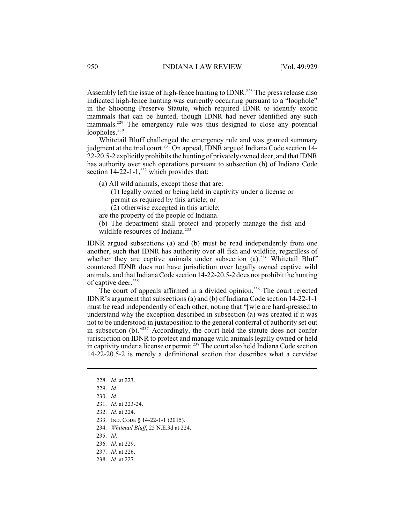Assembly left the issue of high-fence hunting to IDNR.<sup>228</sup> The press release also indicated high-fence hunting was currently occurring pursuant to a "loophole" in the Shooting Preserve Statute, which required IDNR to identify exotic mammals that can be hunted, though IDNR had never identified any such mammals.<sup>229</sup> The emergency rule was thus designed to close any potential loopholes.<sup>230</sup>

Whitetail Bluff challenged the emergency rule and was granted summary judgment at the trial court.<sup>231</sup> On appeal, IDNR argued Indiana Code section 14-22-20.5-2 explicitly prohibits the hunting of privately owned deer, and that IDNR has authority over such operations pursuant to subsection (b) of Indiana Code section  $14-22-1-1$ ,<sup>232</sup> which provides that:

- (a) All wild animals, except those that are:
	- (1) legally owned or being held in captivity under a license or permit as required by this article; or
	- (2) otherwise excepted in this article;
- are the property of the people of Indiana.
- (b) The department shall protect and properly manage the fish and wildlife resources of Indiana. 233

IDNR argued subsections (a) and (b) must be read independently from one another, such that IDNR has authority over all fish and wildlife, regardless of whether they are captive animals under subsection  $(a)$ <sup>234</sup> Whitetail Bluff countered IDNR does not have jurisdiction over legally owned captive wild animals, and that IndianaCode section 14-22-20.5-2 does not prohibit the hunting of captive deer. 235

The court of appeals affirmed in a divided opinion.<sup>236</sup> The court rejected IDNR's argument that subsections (a) and (b) of Indiana Code section 14-22-1-1 must be read independently of each other, noting that "[w]e are hard-pressed to understand why the exception described in subsection (a) was created if it was not to be understood in juxtaposition to the general conferral of authority set out in subsection (b)." $237$  Accordingly, the court held the statute does not confer jurisdiction on IDNR to protect and manage wild animals legally owned or held in captivity under a license or permit.<sup> $238$ </sup> The court also held Indiana Code section 14-22-20.5-2 is merely a definitional section that describes what a cervidae

- 229. *Id.*
- 230. *Id.*
- 231. *Id.* at 223-24.
- 232. *Id.* at 224.
- 233. IND. CODE § 14-22-1-1 (2015).
- 234. *Whitetail Bluff*, 25 N.E.3d at 224.
- 235. *Id.*
- 236. *Id.* at 229.
- 237. *Id.* at 226.
- 238. *Id.* at 227.

<sup>228.</sup> *Id.* at 223.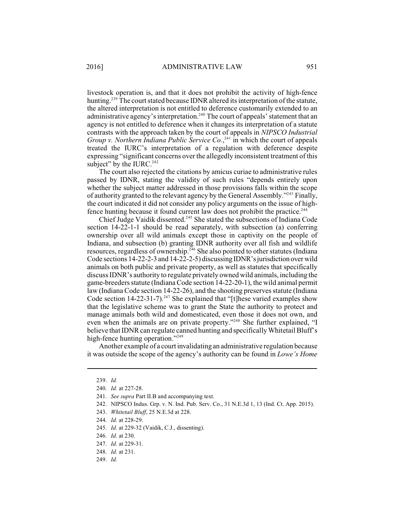livestock operation is, and that it does not prohibit the activity of high-fence hunting.<sup>239</sup> The court stated because IDNR altered its interpretation of the statute, the altered interpretation is not entitled to deference customarily extended to an administrative agency's interpretation.<sup>240</sup> The court of appeals' statement that an agency is not entitled to deference when it changes its interpretation of a statute contrasts with the approach taken by the court of appeals in *NIPSCO Industrial Group v. Northern Indiana Public Service Co.*,<sup>241</sup> in which the court of appeals treated the IURC's interpretation of a regulation with deference despite expressing "significant concerns over the allegedly inconsistent treatment of this subject" by the IURC.<sup>242</sup>

The court also rejected the citations by amicus curiae to administrative rules passed by IDNR, stating the validity of such rules "depends entirely upon whether the subject matter addressed in those provisions falls within the scope of authority granted to the relevant agency by the General Assembly."<sup>243</sup> Finally, the court indicated it did not consider any policy arguments on the issue of highfence hunting because it found current law does not prohibit the practice.<sup>244</sup>

Chief Judge Vaidik dissented.<sup>245</sup> She stated the subsections of Indiana Code section 14-22-1-1 should be read separately, with subsection (a) conferring ownership over all wild animals except those in captivity on the people of Indiana, and subsection (b) granting IDNR authority over all fish and wildlife resources, regardless of ownership.<sup>246</sup> She also pointed to other statutes (Indiana Code sections 14-22-2-3 and 14-22-2-5) discussing IDNR'sjurisdiction over wild animals on both public and private property, as well as statutes that specifically discuss IDNR's authority to regulate privately owned wild animals, including the game-breeders statute (Indiana Code section 14-22-20-1), the wild animal permit law (Indiana Code section 14-22-26), and the shooting preserves statute (Indiana Code section 14-22-31-7).<sup>247</sup> She explained that "[t]hese varied examples show that the legislative scheme was to grant the State the authority to protect and manage animals both wild and domesticated, even those it does not own, and even when the animals are on private property."<sup>248</sup> She further explained, "I believe that IDNR can regulate canned hunting and specifically Whitetail Bluff's high-fence hunting operation."<sup>249</sup>

Another example of a court invalidating an administrative regulation because it was outside the scope of the agency's authority can be found in *Lowe's Home*

- 242. NIPSCO Indus. Grp. v. N. Ind. Pub. Serv. Co., 31 N.E.3d 1, 13 (Ind. Ct. App. 2015).
- 243. *Whitetail Bluff*, 25 N.E.3d at 228.
- 244. *Id.* at 228-29.
- 245. *Id.* at 229-32 (Vaidik, C.J., dissenting).
- 246. *Id.* at 230.
- 247. *Id.* at 229-31.
- 248. *Id.* at 231.
- 249. *Id.*

<sup>239.</sup> *Id.*

<sup>240.</sup> *Id.* at 227-28.

<sup>241.</sup> *See supra* Part II.B and accompanying text.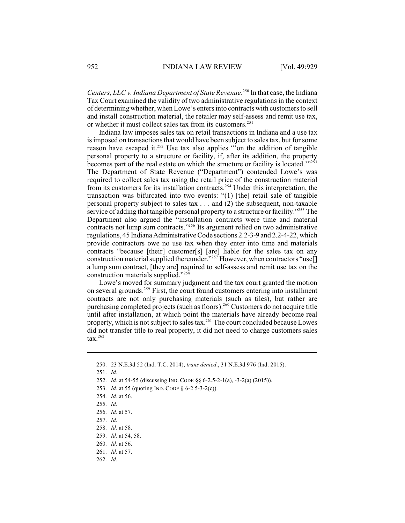*Centers, LLC v. Indiana Department of State Revenue.*<sup>250</sup> In that case, the Indiana Tax Court examined the validity of two administrative regulations in the context of determining whether, when Lowe's enters into contracts with customersto sell and install construction material, the retailer may self-assess and remit use tax, or whether it must collect sales tax from its customers.<sup>251</sup>

Indiana law imposes sales tax on retail transactions in Indiana and a use tax is imposed on transactions that would have been subject to sales tax, but for some reason have escaped it.<sup>252</sup> Use tax also applies "on the addition of tangible personal property to a structure or facility, if, after its addition, the property becomes part of the real estate on which the structure or facility is located."<sup>253</sup> The Department of State Revenue ("Department") contended Lowe's was required to collect sales tax using the retail price of the construction material from its customers for its installation contracts.<sup>254</sup> Under this interpretation, the transaction was bifurcated into two events: "(1) [the] retail sale of tangible personal property subject to sales tax . . . and (2) the subsequent, non-taxable service of adding that tangible personal property to a structure or facility."<sup>255</sup> The Department also argued the "installation contracts were time and material contracts not lump sum contracts."<sup> $256$ </sup> Its argument relied on two administrative regulations, 45 Indiana Administrative Code sections 2.2-3-9 and 2.2-4-22, which provide contractors owe no use tax when they enter into time and materials contracts "because [their] customer[s] [are] liable for the sales tax on any construction material supplied thereunder."<sup>257</sup> However, when contractors "use[] a lump sum contract, [they are] required to self-assess and remit use tax on the construction materials supplied."<sup>258</sup>

Lowe's moved for summary judgment and the tax court granted the motion on several grounds.<sup>259</sup> First, the court found customers entering into installment contracts are not only purchasing materials (such as tiles), but rather are purchasing completed projects (such as floors).<sup>260</sup> Customers do not acquire title until after installation, at which point the materials have already become real property, which is not subject to sales tax.<sup>261</sup> The court concluded because Lowes did not transfer title to real property, it did not need to charge customers sales  $\text{tax.}^{262}$ 

<sup>250.</sup> 23 N.E.3d 52 (Ind. T.C. 2014), *trans denied*., 31 N.E.3d 976 (Ind. 2015).

<sup>251.</sup> *Id.*

<sup>252.</sup> *Id.* at 54-55 (discussing IND. CODE §§ 6-2.5-2-1(a), -3-2(a) (2015)).

<sup>253.</sup> *Id.* at 55 (quoting IND. CODE § 6-2.5-3-2(c)).

<sup>254.</sup> *Id.* at 56.

<sup>255.</sup> *Id.*

<sup>256.</sup> *Id.* at 57.

<sup>257.</sup> *Id.*

<sup>258.</sup> *Id.* at 58.

<sup>259.</sup> *Id.* at 54, 58.

<sup>260.</sup> *Id.* at 56.

<sup>261.</sup> *Id.* at 57.

<sup>262.</sup> *Id.*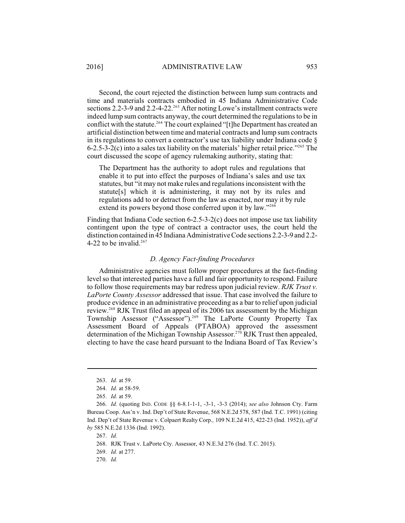Second, the court rejected the distinction between lump sum contracts and time and materials contracts embodied in 45 Indiana Administrative Code sections 2.2-3-9 and 2.2-4-22.<sup>263</sup> After noting Lowe's installment contracts were indeed lump sum contracts anyway, the court determined the regulations to be in conflict with the statute.<sup>264</sup> The court explained "[t]he Department has created an artificial distinction between time and material contracts and lump sum contracts in its regulations to convert a contractor's use tax liability under Indiana code § 6-2.5-3-2(c) into a sales tax liability on the materials' higher retail price.<sup> $2.55$ </sup> The court discussed the scope of agency rulemaking authority, stating that:

The Department has the authority to adopt rules and regulations that enable it to put into effect the purposes of Indiana's sales and use tax statutes, but "it may not make rules and regulations inconsistent with the statute[s] which it is administering, it may not by its rules and regulations add to or detract from the law as enacted, nor may it by rule extend its powers beyond those conferred upon it by law."<sup>266</sup>

Finding that Indiana Code section 6-2.5-3-2(c) does not impose use tax liability contingent upon the type of contract a contractor uses, the court held the distinction contained in 45 Indiana Administrative Code sections 2.2-3-9 and 2.2- 4-22 to be invalid. $267$ 

## *D. Agency Fact-finding Procedures*

Administrative agencies must follow proper procedures at the fact-finding level so that interested parties have a full and fair opportunity to respond. Failure to follow those requirements may bar redress upon judicial review. *RJK Trust v. LaPorte County Assessor* addressed that issue. That case involved the failure to produce evidence in an administrative proceeding as a bar to relief upon judicial review.<sup>268</sup> RJK Trust filed an appeal of its 2006 tax assessment by the Michigan Township Assessor ("Assessor").<sup>269</sup> The LaPorte County Property Tax Assessment Board of Appeals (PTABOA) approved the assessment determination of the Michigan Township Assessor.<sup>270</sup> RJK Trust then appealed, electing to have the case heard pursuant to the Indiana Board of Tax Review's

267. *Id.*

268. RJK Trust v. LaPorte Cty. Assessor, 43 N.E.3d 276 (Ind. T.C. 2015).

269. *Id.* at 277.

270. *Id.* 

<sup>263.</sup> *Id.* at 59.

<sup>264.</sup> *Id.* at 58-59.

<sup>265.</sup> *Id.* at 59.

<sup>266.</sup> *Id.* (quoting IND. CODE §§ 6-8.1-1-1, -3-1, -3-3 (2014); *see also* Johnson Cty. Farm Bureau Coop. Ass'n v. Ind. Dep't of State Revenue, 568 N.E.2d 578, 587 (Ind. T.C. 1991) (citing Ind. Dep't of State Revenue v. Colpaert Realty Corp.*,* 109 N.E.2d 415, 422-23 (Ind. 1952)), *aff'd by* 585 N.E.2d 1336 (Ind. 1992).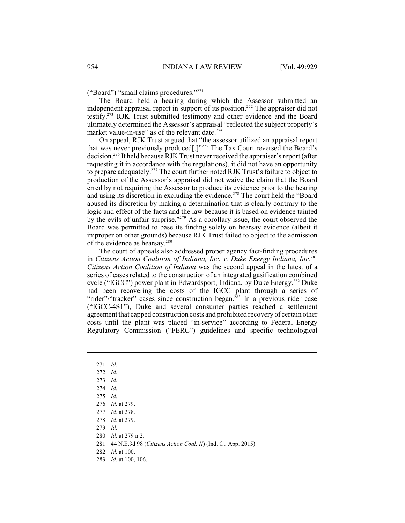("Board") "small claims procedures."<sup>271</sup>

The Board held a hearing during which the Assessor submitted an independent appraisal report in support of its position.<sup>272</sup> The appraiser did not testify.<sup>273</sup> RJK Trust submitted testimony and other evidence and the Board ultimately determined the Assessor's appraisal "reflected the subject property's market value-in-use" as of the relevant date.<sup>274</sup>

On appeal, RJK Trust argued that "the assessor utilized an appraisal report that was never previously produced[.]"<sup>275</sup> The Tax Court reversed the Board's decision.<sup>276</sup> It held because RJK Trust never received the appraiser's report (after requesting it in accordance with the regulations), it did not have an opportunity to prepare adequately.<sup>277</sup> The court further noted RJK Trust's failure to object to production of the Assessor's appraisal did not waive the claim that the Board erred by not requiring the Assessor to produce its evidence prior to the hearing and using its discretion in excluding the evidence.<sup>278</sup> The court held the "Board abused its discretion by making a determination that is clearly contrary to the logic and effect of the facts and the law because it is based on evidence tainted by the evils of unfair surprise." $279$  As a corollary issue, the court observed the Board was permitted to base its finding solely on hearsay evidence (albeit it improper on other grounds) because RJK Trust failed to object to the admission of the evidence as hearsay.<sup>280</sup>

The court of appeals also addressed proper agency fact-finding procedures in *Citizens Action Coalition of Indiana, Inc. v. Duke Energy Indiana, Inc*. 281 *Citizens Action Coalition of Indiana* was the second appeal in the latest of a series of cases related to the construction of an integrated gasification combined cycle ("IGCC") power plant in Edwardsport, Indiana, by Duke Energy.<sup>282</sup> Duke had been recovering the costs of the IGCC plant through a series of "rider"/"tracker" cases since construction began.<sup>283</sup> In a previous rider case ("IGCC-4S1"), Duke and several consumer parties reached a settlement agreement that capped construction costs and prohibited recovery of certain other costs until the plant was placed "in-service" according to Federal Energy Regulatory Commission ("FERC") guidelines and specific technological

- 271. *Id.*
- 272. *Id.*
- 273. *Id.*
- 274. *Id.*
- 275. *Id.*
- 276. *Id.* at 279.
- 277. *Id.* at 278.
- 278. *Id.* at 279.

279. *Id.*

- 280. *Id.* at 279 n.2.
- 281. 44 N.E.3d 98 (*Citizens Action Coal. II*) (Ind. Ct. App. 2015).
- 282. *Id.* at 100.
- 283. *Id.* at 100, 106.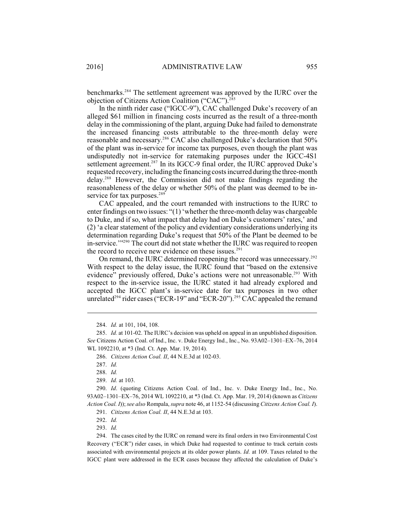benchmarks.<sup>284</sup> The settlement agreement was approved by the IURC over the objection of Citizens Action Coalition ("CAC"). $285$ 

In the ninth rider case ("IGCC-9"), CAC challenged Duke's recovery of an alleged \$61 million in financing costs incurred as the result of a three-month delay in the commissioning of the plant, arguing Duke had failed to demonstrate the increased financing costs attributable to the three-month delay were reasonable and necessary.<sup>286</sup> CAC also challenged Duke's declaration that 50% of the plant was in-service for income tax purposes, even though the plant was undisputedly not in-service for ratemaking purposes under the IGCC-4S1 settlement agreement. $287$  In its IGCC-9 final order, the IURC approved Duke's requested recovery, including the financing costsincurred duringthe three-month delay.<sup>288</sup> However, the Commission did not make findings regarding the reasonableness of the delay or whether 50% of the plant was deemed to be inservice for tax purposes.<sup>289</sup>

CAC appealed, and the court remanded with instructions to the IURC to enter findings on two issues: "(1) 'whether the three-month delay was chargeable to Duke, and if so, what impact that delay had on Duke's customers' rates,' and (2) 'a clear statement of the policy and evidentiary considerations underlying its determination regarding Duke's request that 50% of the Plant be deemed to be in-service." $2^{90}$  The court did not state whether the IURC was required to reopen the record to receive new evidence on these issues. $291$ 

On remand, the IURC determined reopening the record was unnecessary.<sup>292</sup> With respect to the delay issue, the IURC found that "based on the extensive evidence" previously offered, Duke's actions were not unreasonable.<sup>293</sup> With respect to the in-service issue, the IURC stated it had already explored and accepted the IGCC plant's in-service date for tax purposes in two other unrelated<sup> $^{294}$ </sup> rider cases ("ECR-19" and "ECR-20").<sup>295</sup> CAC appealed the remand

284. *Id.* at 101, 104, 108.

286. *Citizens Action Coal. II*, 44 N.E.3d at 102-03.

287. *Id.*

288. *Id.*

289. *Id.* at 103.

290. *Id*. (quoting Citizens Action Coal. of Ind., Inc. v. Duke Energy Ind., Inc., No. 93A02–1301–EX–76, 2014 WL 1092210, at \*3 (Ind. Ct. App. Mar. 19, 2014) (known as *Citizens Action Coal. I*)); *see also* Rompala, *supra* note 46, at 1152-54 (discussing *Citizens Action Coal. I*).

291. *Citizens Action Coal. II*, 44 N.E.3d at 103.

292. *Id.*

293. *Id.*

294. The cases cited by the IURC on remand were its final orders in two Environmental Cost Recovery ("ECR") rider cases, in which Duke had requested to continue to track certain costs associated with environmental projects at its older power plants. *Id.* at 109. Taxes related to the IGCC plant were addressed in the ECR cases because they affected the calculation of Duke's

<sup>285.</sup> *Id.* at 101-02. The IURC's decision was upheld on appeal in an unpublished disposition. *See* Citizens Action Coal. of Ind., Inc. v. Duke Energy Ind., Inc., No. 93A02–1301–EX–76, 2014 WL 1092210, at \*3 (Ind. Ct. App. Mar. 19, 2014).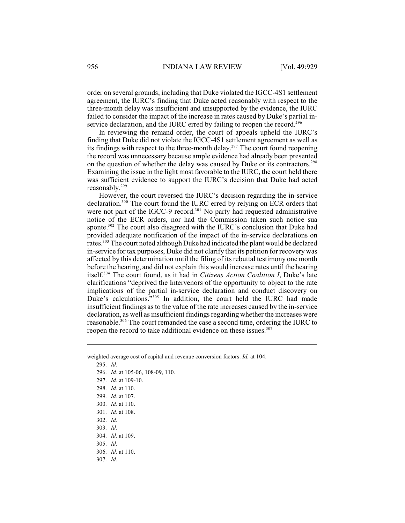order on several grounds, including that Duke violated the IGCC-4S1 settlement agreement, the IURC's finding that Duke acted reasonably with respect to the three-month delay was insufficient and unsupported by the evidence, the IURC failed to consider the impact of the increase in rates caused by Duke's partial inservice declaration, and the IURC erred by failing to reopen the record.<sup>296</sup>

In reviewing the remand order, the court of appeals upheld the IURC's finding that Duke did not violate the IGCC-4S1 settlement agreement as well as its findings with respect to the three-month delay.<sup>297</sup> The court found reopening the record was unnecessary because ample evidence had already been presented on the question of whether the delay was caused by Duke or its contractors. 298 Examining the issue in the light most favorable to the IURC, the court held there was sufficient evidence to support the IURC's decision that Duke had acted reasonably.<sup>299</sup>

However, the court reversed the IURC's decision regarding the in-service declaration.<sup>300</sup> The court found the IURC erred by relying on ECR orders that were not part of the IGCC-9 record.<sup>301</sup> No party had requested administrative notice of the ECR orders, nor had the Commission taken such notice sua sponte. $302$  The court also disagreed with the IURC's conclusion that Duke had provided adequate notification of the impact of the in-service declarations on rates.<sup>303</sup> The court noted although Duke had indicated the plant would be declared in-service for tax purposes, Duke did not clarify that its petition for recovery was affected by this determination until the filing of its rebuttal testimony one month before the hearing, and did not explain this would increase rates until the hearing itself.<sup>304</sup> The court found, as it had in *Citizens Action Coalition I*, Duke's late clarifications "deprived the Intervenors of the opportunity to object to the rate implications of the partial in-service declaration and conduct discovery on Duke's calculations."<sup>305</sup> In addition, the court held the IURC had made insufficient findings as to the value of the rate increases caused by the in-service declaration, as well as insufficient findings regarding whether the increases were reasonable.<sup>306</sup> The court remanded the case a second time, ordering the IURC to reopen the record to take additional evidence on these issues.<sup>307</sup>

weighted average cost of capital and revenue conversion factors. *Id.* at 104.

295. *Id.*

296. *Id.* at 105-06, 108-09, 110.

297. *Id.* at 109-10.

298. *Id.* at 110.

299. *Id.* at 107.

300. *Id.* at 110.

301. *Id.* at 108.

302. *Id.*

303. *Id.*

304. *Id.* at 109.

305. *Id.*

306. *Id.* at 110.

307. *Id.*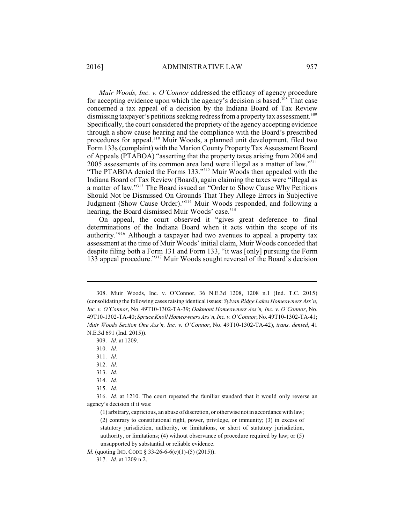*Muir Woods, Inc. v. O'Connor* addressed the efficacy of agency procedure for accepting evidence upon which the agency's decision is based.<sup>308</sup> That case concerned a tax appeal of a decision by the Indiana Board of Tax Review dismissing taxpayer's petitions seeking redress from a property tax assessment.<sup>309</sup> Specifically, the court considered the propriety of the agency accepting evidence through a show cause hearing and the compliance with the Board's prescribed procedures for appeal.<sup>310</sup> Muir Woods, a planned unit development, filed two Form 133s(complaint) with the Marion County Property Tax Assessment Board of Appeals (PTABOA) "asserting that the property taxes arising from 2004 and 2005 assessments of its common area land were illegal as a matter of law."<sup>311</sup> "The PTABOA denied the Forms 133."<sup>312</sup> Muir Woods then appealed with the Indiana Board of Tax Review (Board), again claiming the taxes were "illegal as a matter of law."<sup>313</sup> The Board issued an "Order to Show Cause Why Petitions" Should Not be Dismissed On Grounds That They Allege Errors in Subjective Judgment (Show Cause Order)."<sup>314</sup> Muir Woods responded, and following a hearing, the Board dismissed Muir Woods' case.<sup>315</sup>

On appeal, the court observed it "gives great deference to final determinations of the Indiana Board when it acts within the scope of its authority."<sup>316</sup> Although a taxpayer had two avenues to appeal a property tax assessment at the time of Muir Woods' initial claim, Muir Woods conceded that despite filing both a Form 131 and Form 133, "it was [only] pursuing the Form 133 appeal procedure."<sup>317</sup> Muir Woods sought reversal of the Board's decision

*Id.* (quoting IND. CODE § 33-26-6-6(e)(1)-(5) (2015)).

<sup>308.</sup> Muir Woods, Inc. v. O'Connor, 36 N.E.3d 1208, 1208 n.1 (Ind. T.C. 2015) (consolidating the following cases raising identical issues: *Sylvan Ridge Lakes Homeowners Ass'n, Inc. v. O'Connor*, No. 49T10-1302-TA-39; *Oakmont Homeowners Ass'n, Inc. v. O'Connor*, No. 49T10-1302-TA-40; *Spruce Knoll Homeowners Ass'n, Inc. v. O'Connor*, No. 49T10-1302-TA-41; *Muir Woods Section One Ass'n, Inc. v. O'Connor*, No. 49T10-1302-TA-42), *trans. denied*, 41 N.E.3d 691 (Ind. 2015)).

<sup>309.</sup> *Id.* at 1209.

<sup>310.</sup> *Id.*

<sup>311.</sup> *Id.*

<sup>312.</sup> *Id.*

<sup>313.</sup> *Id.*

<sup>314.</sup> *Id.*

<sup>315.</sup> *Id.*

<sup>316.</sup> *Id.* at 1210. The court repeated the familiar standard that it would only reverse an agency's decision if it was:

<sup>(1)</sup> arbitrary, capricious, an abuse of discretion, or otherwise not in accordance with law; (2) contrary to constitutional right, power, privilege, or immunity; (3) in excess of statutory jurisdiction, authority, or limitations, or short of statutory jurisdiction, authority, or limitations; (4) without observance of procedure required by law; or (5) unsupported by substantial or reliable evidence.

<sup>317.</sup> *Id.* at 1209 n.2.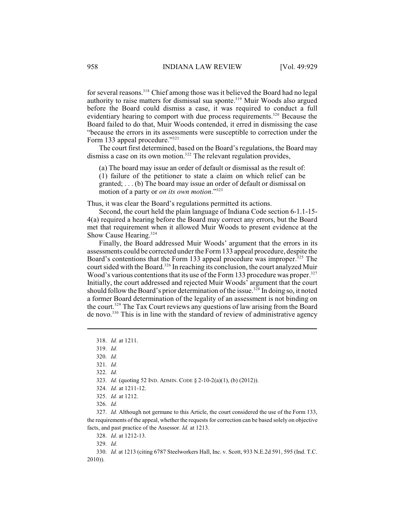for several reasons.<sup>318</sup> Chief among those was it believed the Board had no legal authority to raise matters for dismissal sua sponte.<sup>319</sup> Muir Woods also argued before the Board could dismiss a case, it was required to conduct a full evidentiary hearing to comport with due process requirements.<sup>320</sup> Because the Board failed to do that, Muir Woods contended, it erred in dismissing the case "because the errors in its assessments were susceptible to correction under the Form 133 appeal procedure."321

The court first determined, based on the Board's regulations, the Board may dismiss a case on its own motion.<sup>322</sup> The relevant regulation provides,

(a) The board may issue an order of default or dismissal as the result of: (1) failure of the petitioner to state a claim on which relief can be granted; . . . (b) The board may issue an order of default or dismissal on motion of a party or *on its own motion*."<sup>323</sup>

Thus, it was clear the Board's regulations permitted its actions.

Second, the court held the plain language of Indiana Code section 6-1.1-15- 4(a) required a hearing before the Board may correct any errors, but the Board met that requirement when it allowed Muir Woods to present evidence at the Show Cause Hearing.<sup>324</sup>

Finally, the Board addressed Muir Woods' argument that the errors in its assessments could be corrected under the Form133 appeal procedure, despite the Board's contentions that the Form 133 appeal procedure was improper.  $325$  The court sided with the Board.<sup>326</sup> In reaching its conclusion, the court analyzed Muir Wood's various contentions that its use of the Form 133 procedure was proper.<sup>327</sup> Initially, the court addressed and rejected Muir Woods' argument that the court should follow the Board's prior determination of the issue.<sup>328</sup> In doing so, it noted a former Board determination of the legality of an assessment is not binding on the court.<sup>329</sup> The Tax Court reviews any questions of law arising from the Board de novo.<sup>330</sup> This is in line with the standard of review of administrative agency

322. *Id.*

328. *Id*. at 1212-13.

329. *Id.*

330. *Id.* at 1213 (citing 6787 Steelworkers Hall, Inc. v. Scott, 933 N.E.2d 591, 595 (Ind. T.C. 2010)).

<sup>318.</sup> *Id.* at 1211.

<sup>319.</sup> *Id.*

<sup>320.</sup> *Id.*

<sup>321.</sup> *Id.*

<sup>323.</sup> *Id.* (quoting 52 IND. ADMIN. CODE § 2-10-2(a)(1), (b) (2012)).

<sup>324.</sup> *Id.* at 1211-12.

<sup>325.</sup> *Id.* at 1212.

<sup>326.</sup> *Id.*

<sup>327.</sup> *Id.* Although not germane to this Article, the court considered the use of the Form 133, the requirements of the appeal, whether the requests for correction can be based solely on objective facts, and past practice of the Assessor. *Id.* at 1213.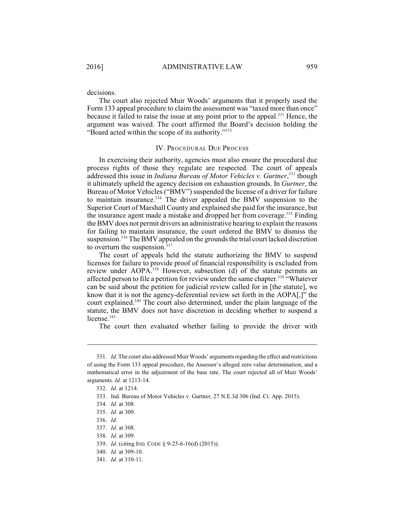The court also rejected Muir Woods' arguments that it properly used the Form 133 appeal procedure to claim the assessment was "taxed more than once" because it failed to raise the issue at any point prior to the appeal.<sup>331</sup> Hence, the argument was waived. The court affirmed the Board's decision holding the "Board acted within the scope of its authority."<sup>332</sup>

### IV. PROCEDURAL DUE PROCESS

In exercising their authority, agencies must also ensure the procedural due process rights of those they regulate are respected. The court of appeals addressed this issue in *Indiana Bureau of Motor Vehicles v. Gurtner*,<sup>333</sup> though it ultimately upheld the agency decision on exhaustion grounds. In *Gurtner*, the Bureau of Motor Vehicles ("BMV") suspended the license of a driver for failure to maintain insurance. $334$  The driver appealed the BMV suspension to the Superior Court of Marshall County and explained she paid for the insurance, but the insurance agent made a mistake and dropped her from coverage.<sup>335</sup> Finding theBMV does not permit drivers an administrative hearing to explain the reasons for failing to maintain insurance, the court ordered the BMV to dismiss the suspension.<sup>336</sup> The BMV appealed on the grounds the trial court lacked discretion to overturn the suspension.<sup>337</sup>

The court of appeals held the statute authorizing the BMV to suspend licenses for failure to provide proof of financial responsibility is excluded from review under AOPA.<sup>338</sup> However, subsection (d) of the statute permits an affected person to file a petition for review under the same chapter.<sup>339</sup> "Whatever" can be said about the petition for judicial review called for in [the statute], we know that it is not the agency-deferential review set forth in the AOPA[,]" the court explained.<sup> $340$ </sup> The court also determined, under the plain language of the statute, the BMV does not have discretion in deciding whether to suspend a license.<sup>341</sup>

The court then evaluated whether failing to provide the driver with

338. *Id.* at 309.

340. *Id.* at 309-10.

<sup>331.</sup> *Id.* The court also addressed Muir Woods' arguments regarding the effect and restrictions of using the Form 133 appeal procedure, the Assessor's alleged zero value determination, and a mathematical error in the adjustment of the base rate. The court rejected all of Muir Woods' arguments. *Id.* at 1213-14.

<sup>332.</sup> *Id.* at 1214.

<sup>333.</sup> Ind. Bureau of Motor Vehicles v. Gurtner, 27 N.E.3d 306 (Ind. Ct. App. 2015).

<sup>334.</sup> *Id.* at 308.

<sup>335.</sup> *Id.* at 309.

<sup>336.</sup> *Id.*

<sup>337.</sup> *Id.* at 308.

<sup>339.</sup> *Id.* (citing IND. CODE § 9-25-6-16(d) (2015)).

<sup>341.</sup> *Id.* at 310-11.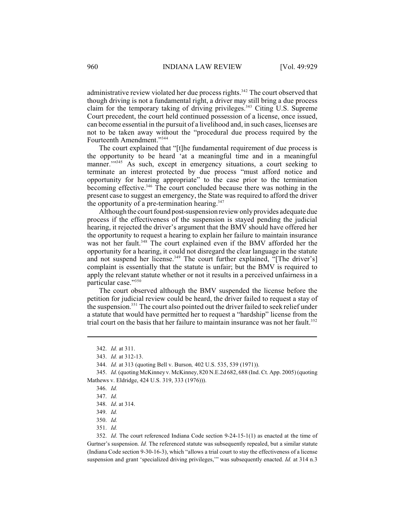administrative review violated her due process rights.<sup>342</sup> The court observed that though driving is not a fundamental right, a driver may still bring a due process claim for the temporary taking of driving privileges.<sup>343</sup> Citing U.S. Supreme Court precedent, the court held continued possession of a license, once issued, can become essential in the pursuit of a livelihood and, in such cases, licenses are not to be taken away without the "procedural due process required by the Fourteenth Amendment."<sup>344</sup>

The court explained that "[t]he fundamental requirement of due process is the opportunity to be heard 'at a meaningful time and in a meaningful manner."<sup>345</sup> As such, except in emergency situations, a court seeking to terminate an interest protected by due process "must afford notice and opportunity for hearing appropriate" to the case prior to the termination becoming effective.<sup> $346$ </sup> The court concluded because there was nothing in the present case to suggest an emergency, the State was required to afford the driver the opportunity of a pre-termination hearing. $347$ 

Although the court found post-suspension review only provides adequate due process if the effectiveness of the suspension is stayed pending the judicial hearing, it rejected the driver's argument that the BMV should have offered her the opportunity to request a hearing to explain her failure to maintain insurance was not her fault.<sup>348</sup> The court explained even if the BMV afforded her the opportunity for a hearing, it could not disregard the clear language in the statute and not suspend her license.<sup>349</sup> The court further explained, "[The driver's] complaint is essentially that the statute is unfair; but the BMV is required to apply the relevant statute whether or not it results in a perceived unfairness in a particular case." 350

The court observed although the BMV suspended the license before the petition for judicial review could be heard, the driver failed to request a stay of the suspension.<sup>351</sup> The court also pointed out the driver failed to seek relief under a statute that would have permitted her to request a "hardship" license from the trial court on the basis that her failure to maintain insurance was not her fault. 352

346. *Id.*

351. *Id.*

352. *Id*. The court referenced Indiana Code section 9-24-15-1(1) as enacted at the time of Gurtner's suspension. *Id.* The referenced statute was subsequently repealed, but a similar statute (Indiana Code section 9-30-16-3), which "allows a trial court to stay the effectiveness of a license suspension and grant 'specialized driving privileges,'" was subsequently enacted. *Id.* at 314 n.3

<sup>342.</sup> *Id.* at 311.

<sup>343.</sup> *Id.* at 312-13.

<sup>344.</sup> *Id.* at 313 (quoting Bell v. Burson*,* 402 U.S. 535, 539 (1971)).

<sup>345.</sup> *Id.* (quoting McKinney v. McKinney, 820 N.E.2d 682, 688 (Ind. Ct. App. 2005) (quoting Mathews v. Eldridge, 424 U.S. 319, 333 (1976))).

<sup>347.</sup> *Id.*

<sup>348.</sup> *Id*. at 314.

<sup>349.</sup> *Id.*

<sup>350.</sup> *Id.*